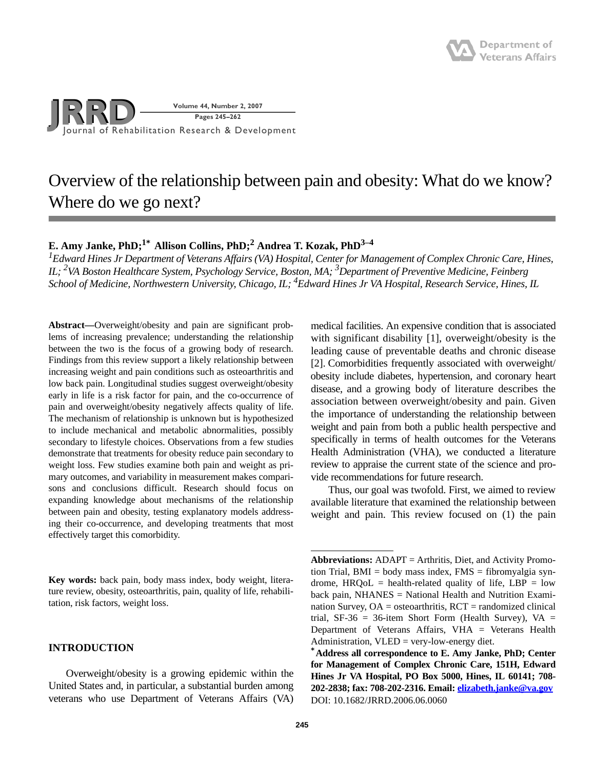

# Overview of the relationship between pain and obesity: What do we know? Where do we go next?

# **E. Amy Janke, PhD;1\* Allison Collins, PhD;<sup>2</sup> Andrea T. Kozak, PhD3–4**

<sup>1</sup> Edward Hines Jr Department of Veterans Affairs (VA) Hospital, Center for Management of Complex Chronic Care, Hines, *IL; 2 VA Boston Healthcare System, Psychology Service, Boston, MA; 3 Department of Preventive Medicine, Feinberg School of Medicine, Northwestern University, Chicago, IL; 4 Edward Hines Jr VA Hospital, Research Service, Hines, IL*

**Abstract—**Overweight/obesity and pain are significant problems of increasing prevalence; understanding the relationship between the two is the focus of a growing body of research. Findings from this review support a likely relationship between increasing weight and pain conditions such as osteoarthritis and low back pain. Longitudinal studies suggest overweight/obesity early in life is a risk factor for pain, and the co-occurrence of pain and overweight/obesity negatively affects quality of life. The mechanism of relationship is unknown but is hypothesized to include mechanical and metabolic abnormalities, possibly secondary to lifestyle choices. Observations from a few studies demonstrate that treatments for obesity reduce pain secondary to weight loss. Few studies examine both pain and weight as primary outcomes, and variability in measurement makes comparisons and conclusions difficult. Research should focus on expanding knowledge about mechanisms of the relationship between pain and obesity, testing explanatory models addressing their co-occurrence, and developing treatments that most effectively target this comorbidity.

**Key words:** back pain, body mass index, body weight, literature review, obesity, osteoarthritis, pain, quality of life, rehabilitation, risk factors, weight loss.

# **INTRODUCTION**

Overweight/obesity is a growing epidemic within the United States and, in particular, a substantial burden among veterans who use Department of Veterans Affairs (VA) medical facilities. An expensive condition that is associated with significant disability [1], overweight/obesity is the leading cause of preventable deaths and chronic disease [2]. Comorbidities frequently associated with overweight/ obesity include diabetes, hypertension, and coronary heart disease, and a growing body of literature describes the association between overweight/obesity and pain. Given the importance of understanding the relationship between weight and pain from both a public health perspective and specifically in terms of health outcomes for the Veterans Health Administration (VHA), we conducted a literature review to appraise the current state of the science and provide recommendations for future research.

Thus, our goal was twofold. First, we aimed to review available literature that examined the relationship between weight and pain. This review focused on (1) the pain

**Abbreviations:** ADAPT = Arthritis, Diet, and Activity Promotion Trial,  $BMI = body$  mass index,  $FMS = fibromyalgia$  syndrome,  $HRQoL = health-related quality of life, LBP = low$ back pain, NHANES = National Health and Nutrition Examination Survey,  $OA =$  osteoarthritis,  $RCT =$  randomized clinical trial, SF-36 = 36-item Short Form (Health Survey), VA = Department of Veterans Affairs, VHA = Veterans Health Administration, VLED = very-low-energy diet.

**<sup>\*</sup>Address all correspondence to E. Amy Janke, PhD; Center for Management of Complex Chronic Care, 151H, Edward Hines Jr VA Hospital, PO Box 5000, Hines, IL 60141; 708- 202-2838; fax: 708-202-2316. Email[: elizabeth.janke@va.gov](mailto:elizabeth.janke@va.gov)** DOI: 10.1682/JRRD.2006.06.0060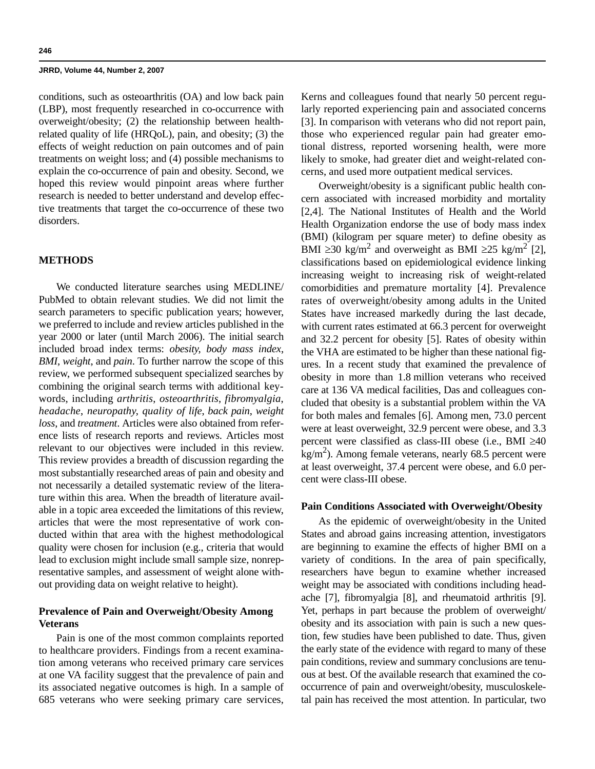conditions, such as osteoarthritis (OA) and low back pain (LBP), most frequently researched in co-occurrence with overweight/obesity; (2) the relationship between healthrelated quality of life (HRQoL), pain, and obesity; (3) the effects of weight reduction on pain outcomes and of pain treatments on weight loss; and (4) possible mechanisms to explain the co-occurrence of pain and obesity. Second, we hoped this review would pinpoint areas where further research is needed to better understand and develop effective treatments that target the co-occurrence of these two disorders.

### **METHODS**

We conducted literature searches using MEDLINE/ PubMed to obtain relevant studies. We did not limit the search parameters to specific publication years; however, we preferred to include and review articles published in the year 2000 or later (until March 2006). The initial search included broad index terms: *obesity*, *body mass index*, *BMI*, *weight*, and *pain*. To further narrow the scope of this review, we performed subsequent specialized searches by combining the original search terms with additional keywords, including *arthritis*, *osteoarthritis*, *fibromyalgia*, *headache*, *neuropathy*, *quality of life*, *back pain*, *weight loss*, and *treatment*. Articles were also obtained from reference lists of research reports and reviews. Articles most relevant to our objectives were included in this review. This review provides a breadth of discussion regarding the most substantially researched areas of pain and obesity and not necessarily a detailed systematic review of the literature within this area. When the breadth of literature available in a topic area exceeded the limitations of this review, articles that were the most representative of work conducted within that area with the highest methodological quality were chosen for inclusion (e.g., criteria that would lead to exclusion might include small sample size, nonrepresentative samples, and assessment of weight alone without providing data on weight relative to height).

# **Prevalence of Pain and Overweight/Obesity Among Veterans**

Pain is one of the most common complaints reported to healthcare providers. Findings from a recent examination among veterans who received primary care services at one VA facility suggest that the prevalence of pain and its associated negative outcomes is high. In a sample of 685 veterans who were seeking primary care services, Kerns and colleagues found that nearly 50 percent regularly reported experiencing pain and associated concerns [3]. In comparison with veterans who did not report pain, those who experienced regular pain had greater emotional distress, reported worsening health, were more likely to smoke, had greater diet and weight-related concerns, and used more outpatient medical services.

Overweight/obesity is a significant public health concern associated with increased morbidity and mortality [2,4]. The National Institutes of Health and the World Health Organization endorse the use of body mass index (BMI) (kilogram per square meter) to define obesity as BMI ≥30 kg/m<sup>2</sup> and overweight as BMI ≥25 kg/m<sup>2</sup> [2], classifications based on epidemiological evidence linking increasing weight to increasing risk of weight-related comorbidities and premature mortality [4]. Prevalence rates of overweight/obesity among adults in the United States have increased markedly during the last decade, with current rates estimated at 66.3 percent for overweight and 32.2 percent for obesity [5]. Rates of obesity within the VHA are estimated to be higher than these national figures. In a recent study that examined the prevalence of obesity in more than 1.8 million veterans who received care at 136 VA medical facilities, Das and colleagues concluded that obesity is a substantial problem within the VA for both males and females [6]. Among men, 73.0 percent were at least overweight, 32.9 percent were obese, and 3.3 percent were classified as class-III obese (i.e., BMI ≥40  $\text{kg/m}^2$ ). Among female veterans, nearly 68.5 percent were at least overweight, 37.4 percent were obese, and 6.0 percent were class-III obese.

# **Pain Conditions Associated with Overweight/Obesity**

As the epidemic of overweight/obesity in the United States and abroad gains increasing attention, investigators are beginning to examine the effects of higher BMI on a variety of conditions. In the area of pain specifically, researchers have begun to examine whether increased weight may be associated with conditions including headache [7], fibromyalgia [8], and rheumatoid arthritis [9]. Yet, perhaps in part because the problem of overweight/ obesity and its association with pain is such a new question, few studies have been published to date. Thus, given the early state of the evidence with regard to many of these pain conditions, review and summary conclusions are tenuous at best. Of the available research that examined the cooccurrence of pain and overweight/obesity, musculoskeletal pain has received the most attention. In particular, two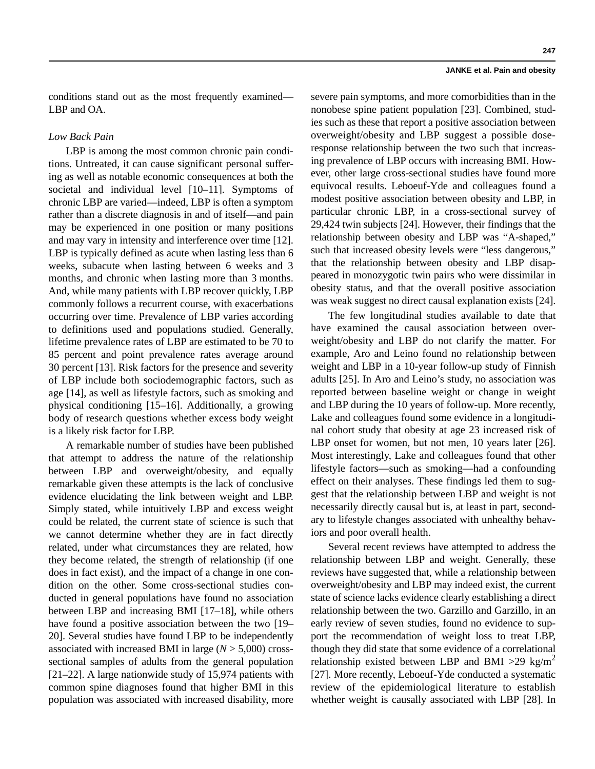conditions stand out as the most frequently examined— LBP and OA.

### *Low Back Pain*

LBP is among the most common chronic pain conditions. Untreated, it can cause significant personal suffering as well as notable economic consequences at both the societal and individual level [10–11]. Symptoms of chronic LBP are varied—indeed, LBP is often a symptom rather than a discrete diagnosis in and of itself—and pain may be experienced in one position or many positions and may vary in intensity and interference over time [12]. LBP is typically defined as acute when lasting less than 6 weeks, subacute when lasting between 6 weeks and 3 months, and chronic when lasting more than 3 months. And, while many patients with LBP recover quickly, LBP commonly follows a recurrent course, with exacerbations occurring over time. Prevalence of LBP varies according to definitions used and populations studied. Generally, lifetime prevalence rates of LBP are estimated to be 70 to 85 percent and point prevalence rates average around 30 percent [13]. Risk factors for the presence and severity of LBP include both sociodemographic factors, such as age [14], as well as lifestyle factors, such as smoking and physical conditioning [15–16]. Additionally, a growing body of research questions whether excess body weight is a likely risk factor for LBP.

A remarkable number of studies have been published that attempt to address the nature of the relationship between LBP and overweight/obesity, and equally remarkable given these attempts is the lack of conclusive evidence elucidating the link between weight and LBP. Simply stated, while intuitively LBP and excess weight could be related, the current state of science is such that we cannot determine whether they are in fact directly related, under what circumstances they are related, how they become related, the strength of relationship (if one does in fact exist), and the impact of a change in one condition on the other. Some cross-sectional studies conducted in general populations have found no association between LBP and increasing BMI [17–18], while others have found a positive association between the two [19– 20]. Several studies have found LBP to be independently associated with increased BMI in large (*N* > 5,000) crosssectional samples of adults from the general population [21–22]. A large nationwide study of 15,974 patients with common spine diagnoses found that higher BMI in this population was associated with increased disability, more

### **JANKE et al. Pain and obesity**

severe pain symptoms, and more comorbidities than in the nonobese spine patient population [23]. Combined, studies such as these that report a positive association between overweight/obesity and LBP suggest a possible doseresponse relationship between the two such that increasing prevalence of LBP occurs with increasing BMI. However, other large cross-sectional studies have found more equivocal results. Leboeuf-Yde and colleagues found a modest positive association between obesity and LBP, in particular chronic LBP, in a cross-sectional survey of 29,424 twin subjects [24]. However, their findings that the relationship between obesity and LBP was "A-shaped," such that increased obesity levels were "less dangerous," that the relationship between obesity and LBP disappeared in monozygotic twin pairs who were dissimilar in obesity status, and that the overall positive association was weak suggest no direct causal explanation exists [24].

The few longitudinal studies available to date that have examined the causal association between overweight/obesity and LBP do not clarify the matter. For example, Aro and Leino found no relationship between weight and LBP in a 10-year follow-up study of Finnish adults [25]. In Aro and Leino's study, no association was reported between baseline weight or change in weight and LBP during the 10 years of follow-up. More recently, Lake and colleagues found some evidence in a longitudinal cohort study that obesity at age 23 increased risk of LBP onset for women, but not men, 10 years later [26]. Most interestingly, Lake and colleagues found that other lifestyle factors—such as smoking—had a confounding effect on their analyses. These findings led them to suggest that the relationship between LBP and weight is not necessarily directly causal but is, at least in part, secondary to lifestyle changes associated with unhealthy behaviors and poor overall health.

Several recent reviews have attempted to address the relationship between LBP and weight. Generally, these reviews have suggested that, while a relationship between overweight/obesity and LBP may indeed exist, the current state of science lacks evidence clearly establishing a direct relationship between the two. Garzillo and Garzillo, in an early review of seven studies, found no evidence to support the recommendation of weight loss to treat LBP, though they did state that some evidence of a correlational relationship existed between LBP and BMI >29 kg/m<sup>2</sup> [27]. More recently, Leboeuf-Yde conducted a systematic review of the epidemiological literature to establish whether weight is causally associated with LBP [28]. In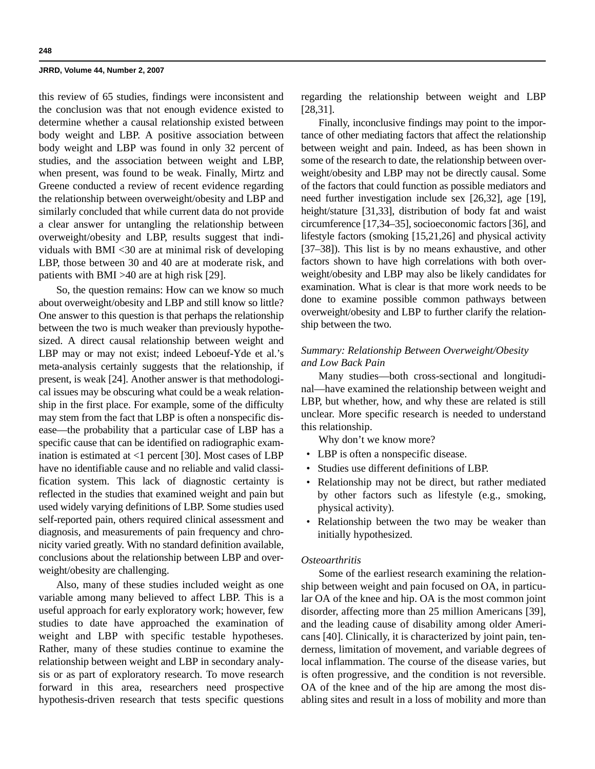this review of 65 studies, findings were inconsistent and the conclusion was that not enough evidence existed to determine whether a causal relationship existed between body weight and LBP. A positive association between body weight and LBP was found in only 32 percent of studies, and the association between weight and LBP, when present, was found to be weak. Finally, Mirtz and Greene conducted a review of recent evidence regarding the relationship between overweight/obesity and LBP and similarly concluded that while current data do not provide a clear answer for untangling the relationship between overweight/obesity and LBP, results suggest that individuals with BMI <30 are at minimal risk of developing LBP, those between 30 and 40 are at moderate risk, and patients with BMI >40 are at high risk [29].

So, the question remains: How can we know so much about overweight/obesity and LBP and still know so little? One answer to this question is that perhaps the relationship between the two is much weaker than previously hypothesized. A direct causal relationship between weight and LBP may or may not exist; indeed Leboeuf-Yde et al.'s meta-analysis certainly suggests that the relationship, if present, is weak [24]. Another answer is that methodological issues may be obscuring what could be a weak relationship in the first place. For example, some of the difficulty may stem from the fact that LBP is often a nonspecific disease—the probability that a particular case of LBP has a specific cause that can be identified on radiographic examination is estimated at <1 percent [30]. Most cases of LBP have no identifiable cause and no reliable and valid classification system. This lack of diagnostic certainty is reflected in the studies that examined weight and pain but used widely varying definitions of LBP. Some studies used self-reported pain, others required clinical assessment and diagnosis, and measurements of pain frequency and chronicity varied greatly. With no standard definition available, conclusions about the relationship between LBP and overweight/obesity are challenging.

Also, many of these studies included weight as one variable among many believed to affect LBP. This is a useful approach for early exploratory work; however, few studies to date have approached the examination of weight and LBP with specific testable hypotheses. Rather, many of these studies continue to examine the relationship between weight and LBP in secondary analysis or as part of exploratory research. To move research forward in this area, researchers need prospective hypothesis-driven research that tests specific questions regarding the relationship between weight and LBP [28,31].

Finally, inconclusive findings may point to the importance of other mediating factors that affect the relationship between weight and pain. Indeed, as has been shown in some of the research to date, the relationship between overweight/obesity and LBP may not be directly causal. Some of the factors that could function as possible mediators and need further investigation include sex [26,32], age [19], height/stature [31,33], distribution of body fat and waist circumference [17,34–35], socioeconomic factors [36], and lifestyle factors (smoking [15,21,26] and physical activity [37–38]). This list is by no means exhaustive, and other factors shown to have high correlations with both overweight/obesity and LBP may also be likely candidates for examination. What is clear is that more work needs to be done to examine possible common pathways between overweight/obesity and LBP to further clarify the relationship between the two.

# *Summary: Relationship Between Overweight/Obesity and Low Back Pain*

Many studies—both cross-sectional and longitudinal—have examined the relationship between weight and LBP, but whether, how, and why these are related is still unclear. More specific research is needed to understand this relationship.

Why don't we know more?

- LBP is often a nonspecific disease.
- Studies use different definitions of LBP.
- Relationship may not be direct, but rather mediated by other factors such as lifestyle (e.g., smoking, physical activity).
- Relationship between the two may be weaker than initially hypothesized.

# *Osteoarthritis*

Some of the earliest research examining the relationship between weight and pain focused on OA, in particular OA of the knee and hip. OA is the most common joint disorder, affecting more than 25 million Americans [39], and the leading cause of disability among older Americans [40]. Clinically, it is characterized by joint pain, tenderness, limitation of movement, and variable degrees of local inflammation. The course of the disease varies, but is often progressive, and the condition is not reversible. OA of the knee and of the hip are among the most disabling sites and result in a loss of mobility and more than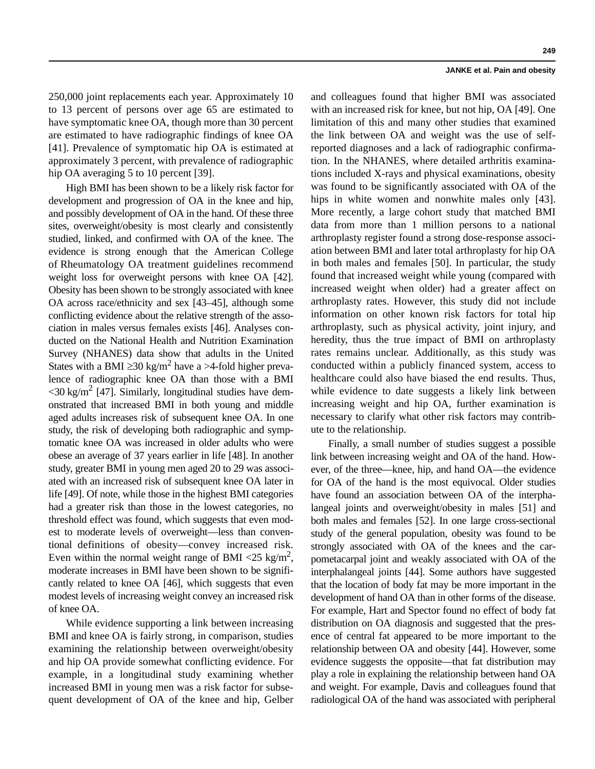250,000 joint replacements each year. Approximately 10 to 13 percent of persons over age 65 are estimated to have symptomatic knee OA, though more than 30 percent are estimated to have radiographic findings of knee OA [41]. Prevalence of symptomatic hip OA is estimated at approximately 3 percent, with prevalence of radiographic hip OA averaging 5 to 10 percent [39].

High BMI has been shown to be a likely risk factor for development and progression of OA in the knee and hip, and possibly development of OA in the hand. Of these three sites, overweight/obesity is most clearly and consistently studied, linked, and confirmed with OA of the knee. The evidence is strong enough that the American College of Rheumatology OA treatment guidelines recommend weight loss for overweight persons with knee OA [42]. Obesity has been shown to be strongly associated with knee OA across race/ethnicity and sex [43–45], although some conflicting evidence about the relative strength of the association in males versus females exists [46]. Analyses conducted on the National Health and Nutrition Examination Survey (NHANES) data show that adults in the United States with a BMI  $\geq$ 30 kg/m<sup>2</sup> have a >4-fold higher prevalence of radiographic knee OA than those with a BMI  $<$ 30 kg/m<sup>2</sup> [47]. Similarly, longitudinal studies have demonstrated that increased BMI in both young and middle aged adults increases risk of subsequent knee OA. In one study, the risk of developing both radiographic and symptomatic knee OA was increased in older adults who were obese an average of 37 years earlier in life [48]. In another study, greater BMI in young men aged 20 to 29 was associated with an increased risk of subsequent knee OA later in life [49]. Of note, while those in the highest BMI categories had a greater risk than those in the lowest categories, no threshold effect was found, which suggests that even modest to moderate levels of overweight—less than conventional definitions of obesity—convey increased risk. Even within the normal weight range of BMI <25 kg/m<sup>2</sup>, moderate increases in BMI have been shown to be significantly related to knee OA [46], which suggests that even modest levels of increasing weight convey an increased risk of knee OA.

While evidence supporting a link between increasing BMI and knee OA is fairly strong, in comparison, studies examining the relationship between overweight/obesity and hip OA provide somewhat conflicting evidence. For example, in a longitudinal study examining whether increased BMI in young men was a risk factor for subsequent development of OA of the knee and hip, Gelber

and colleagues found that higher BMI was associated with an increased risk for knee, but not hip, OA [49]. One limitation of this and many other studies that examined the link between OA and weight was the use of selfreported diagnoses and a lack of radiographic confirmation. In the NHANES, where detailed arthritis examinations included X-rays and physical examinations, obesity was found to be significantly associated with OA of the hips in white women and nonwhite males only [43]. More recently, a large cohort study that matched BMI data from more than 1 million persons to a national arthroplasty register found a strong dose-response association between BMI and later total arthroplasty for hip OA in both males and females [50]. In particular, the study found that increased weight while young (compared with increased weight when older) had a greater affect on arthroplasty rates. However, this study did not include information on other known risk factors for total hip arthroplasty, such as physical activity, joint injury, and heredity, thus the true impact of BMI on arthroplasty rates remains unclear. Additionally, as this study was conducted within a publicly financed system, access to healthcare could also have biased the end results. Thus, while evidence to date suggests a likely link between increasing weight and hip OA, further examination is necessary to clarify what other risk factors may contribute to the relationship.

Finally, a small number of studies suggest a possible link between increasing weight and OA of the hand. However, of the three—knee, hip, and hand OA—the evidence for OA of the hand is the most equivocal. Older studies have found an association between OA of the interphalangeal joints and overweight/obesity in males [51] and both males and females [52]. In one large cross-sectional study of the general population, obesity was found to be strongly associated with OA of the knees and the carpometacarpal joint and weakly associated with OA of the interphalangeal joints [44]. Some authors have suggested that the location of body fat may be more important in the development of hand OA than in other forms of the disease. For example, Hart and Spector found no effect of body fat distribution on OA diagnosis and suggested that the presence of central fat appeared to be more important to the relationship between OA and obesity [44]. However, some evidence suggests the opposite—that fat distribution may play a role in explaining the relationship between hand OA and weight. For example, Davis and colleagues found that radiological OA of the hand was associated with peripheral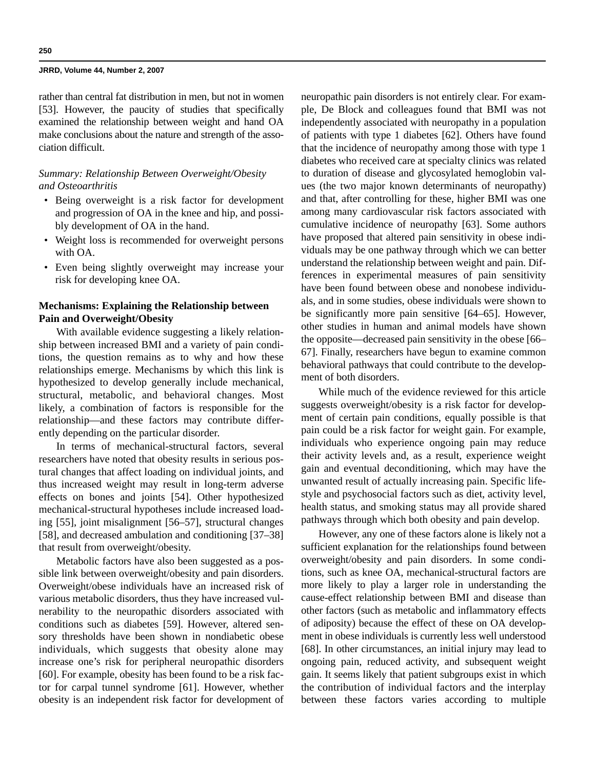rather than central fat distribution in men, but not in women [53]. However, the paucity of studies that specifically examined the relationship between weight and hand OA make conclusions about the nature and strength of the association difficult.

# *Summary: Relationship Between Overweight/Obesity and Osteoarthritis*

- Being overweight is a risk factor for development and progression of OA in the knee and hip, and possibly development of OA in the hand.
- Weight loss is recommended for overweight persons with OA.
- Even being slightly overweight may increase your risk for developing knee OA.

# **Mechanisms: Explaining the Relationship between Pain and Overweight/Obesity**

With available evidence suggesting a likely relationship between increased BMI and a variety of pain conditions, the question remains as to why and how these relationships emerge. Mechanisms by which this link is hypothesized to develop generally include mechanical, structural, metabolic, and behavioral changes. Most likely, a combination of factors is responsible for the relationship—and these factors may contribute differently depending on the particular disorder.

In terms of mechanical-structural factors, several researchers have noted that obesity results in serious postural changes that affect loading on individual joints, and thus increased weight may result in long-term adverse effects on bones and joints [54]. Other hypothesized mechanical-structural hypotheses include increased loading [55], joint misalignment [56–57], structural changes [58], and decreased ambulation and conditioning [37–38] that result from overweight/obesity.

Metabolic factors have also been suggested as a possible link between overweight/obesity and pain disorders. Overweight/obese individuals have an increased risk of various metabolic disorders, thus they have increased vulnerability to the neuropathic disorders associated with conditions such as diabetes [59]. However, altered sensory thresholds have been shown in nondiabetic obese individuals, which suggests that obesity alone may increase one's risk for peripheral neuropathic disorders [60]. For example, obesity has been found to be a risk factor for carpal tunnel syndrome [61]. However, whether obesity is an independent risk factor for development of neuropathic pain disorders is not entirely clear. For example, De Block and colleagues found that BMI was not independently associated with neuropathy in a population of patients with type 1 diabetes [62]. Others have found that the incidence of neuropathy among those with type 1 diabetes who received care at specialty clinics was related to duration of disease and glycosylated hemoglobin values (the two major known determinants of neuropathy) and that, after controlling for these, higher BMI was one among many cardiovascular risk factors associated with cumulative incidence of neuropathy [63]. Some authors have proposed that altered pain sensitivity in obese individuals may be one pathway through which we can better understand the relationship between weight and pain. Differences in experimental measures of pain sensitivity have been found between obese and nonobese individuals, and in some studies, obese individuals were shown to be significantly more pain sensitive [64–65]. However, other studies in human and animal models have shown the opposite—decreased pain sensitivity in the obese [66– 67]. Finally, researchers have begun to examine common behavioral pathways that could contribute to the development of both disorders.

While much of the evidence reviewed for this article suggests overweight/obesity is a risk factor for development of certain pain conditions, equally possible is that pain could be a risk factor for weight gain. For example, individuals who experience ongoing pain may reduce their activity levels and, as a result, experience weight gain and eventual deconditioning, which may have the unwanted result of actually increasing pain. Specific lifestyle and psychosocial factors such as diet, activity level, health status, and smoking status may all provide shared pathways through which both obesity and pain develop.

However, any one of these factors alone is likely not a sufficient explanation for the relationships found between overweight/obesity and pain disorders. In some conditions, such as knee OA, mechanical-structural factors are more likely to play a larger role in understanding the cause-effect relationship between BMI and disease than other factors (such as metabolic and inflammatory effects of adiposity) because the effect of these on OA development in obese individuals is currently less well understood [68]. In other circumstances, an initial injury may lead to ongoing pain, reduced activity, and subsequent weight gain. It seems likely that patient subgroups exist in which the contribution of individual factors and the interplay between these factors varies according to multiple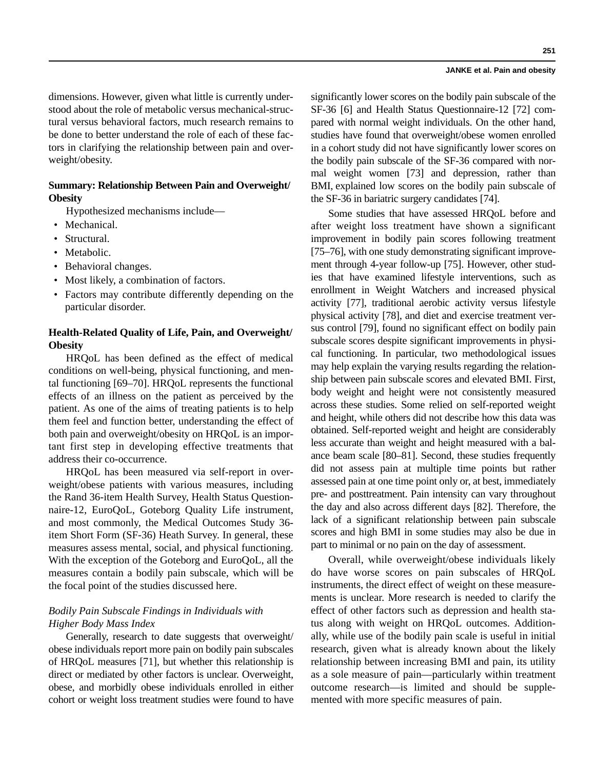dimensions. However, given what little is currently understood about the role of metabolic versus mechanical-structural versus behavioral factors, much research remains to be done to better understand the role of each of these factors in clarifying the relationship between pain and overweight/obesity.

# **Summary: Relationship Between Pain and Overweight/ Obesity**

Hypothesized mechanisms include—

- Mechanical.
- Structural.
- Metabolic.
- Behavioral changes.
- Most likely, a combination of factors.
- Factors may contribute differently depending on the particular disorder.

# **Health-Related Quality of Life, Pain, and Overweight/ Obesity**

HRQoL has been defined as the effect of medical conditions on well-being, physical functioning, and mental functioning [69–70]. HRQoL represents the functional effects of an illness on the patient as perceived by the patient. As one of the aims of treating patients is to help them feel and function better, understanding the effect of both pain and overweight/obesity on HRQoL is an important first step in developing effective treatments that address their co-occurrence.

HRQoL has been measured via self-report in overweight/obese patients with various measures, including the Rand 36-item Health Survey, Health Status Questionnaire-12, EuroQoL, Goteborg Quality Life instrument, and most commonly, the Medical Outcomes Study 36 item Short Form (SF-36) Heath Survey. In general, these measures assess mental, social, and physical functioning. With the exception of the Goteborg and EuroQoL, all the measures contain a bodily pain subscale, which will be the focal point of the studies discussed here.

# *Bodily Pain Subscale Findings in Individuals with Higher Body Mass Index*

Generally, research to date suggests that overweight/ obese individuals report more pain on bodily pain subscales of HRQoL measures [71], but whether this relationship is direct or mediated by other factors is unclear. Overweight, obese, and morbidly obese individuals enrolled in either cohort or weight loss treatment studies were found to have

significantly lower scores on the bodily pain subscale of the SF-36 [6] and Health Status Questionnaire-12 [72] compared with normal weight individuals. On the other hand, studies have found that overweight/obese women enrolled in a cohort study did not have significantly lower scores on the bodily pain subscale of the SF-36 compared with normal weight women [73] and depression, rather than BMI, explained low scores on the bodily pain subscale of the SF-36 in bariatric surgery candidates [74].

Some studies that have assessed HRQoL before and after weight loss treatment have shown a significant improvement in bodily pain scores following treatment [75–76], with one study demonstrating significant improvement through 4-year follow-up [75]. However, other studies that have examined lifestyle interventions, such as enrollment in Weight Watchers and increased physical activity [77], traditional aerobic activity versus lifestyle physical activity [78], and diet and exercise treatment versus control [79], found no significant effect on bodily pain subscale scores despite significant improvements in physical functioning. In particular, two methodological issues may help explain the varying results regarding the relationship between pain subscale scores and elevated BMI. First, body weight and height were not consistently measured across these studies. Some relied on self-reported weight and height, while others did not describe how this data was obtained. Self-reported weight and height are considerably less accurate than weight and height measured with a balance beam scale [80–81]. Second, these studies frequently did not assess pain at multiple time points but rather assessed pain at one time point only or, at best, immediately pre- and posttreatment. Pain intensity can vary throughout the day and also across different days [82]. Therefore, the lack of a significant relationship between pain subscale scores and high BMI in some studies may also be due in part to minimal or no pain on the day of assessment.

Overall, while overweight/obese individuals likely do have worse scores on pain subscales of HRQoL instruments, the direct effect of weight on these measurements is unclear. More research is needed to clarify the effect of other factors such as depression and health status along with weight on HRQoL outcomes. Additionally, while use of the bodily pain scale is useful in initial research, given what is already known about the likely relationship between increasing BMI and pain, its utility as a sole measure of pain—particularly within treatment outcome research—is limited and should be supplemented with more specific measures of pain.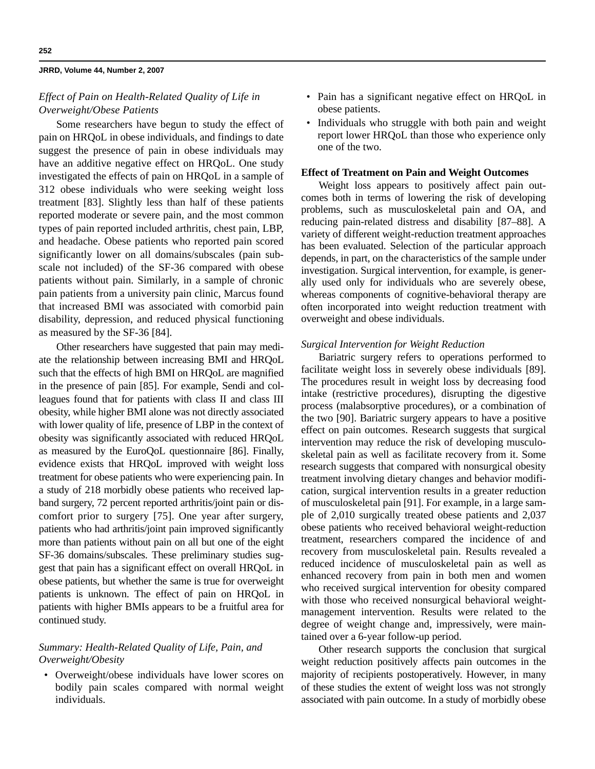# *Effect of Pain on Health-Related Quality of Life in Overweight/Obese Patients*

Some researchers have begun to study the effect of pain on HRQoL in obese individuals, and findings to date suggest the presence of pain in obese individuals may have an additive negative effect on HRQoL. One study investigated the effects of pain on HRQoL in a sample of 312 obese individuals who were seeking weight loss treatment [83]. Slightly less than half of these patients reported moderate or severe pain, and the most common types of pain reported included arthritis, chest pain, LBP, and headache. Obese patients who reported pain scored significantly lower on all domains/subscales (pain subscale not included) of the SF-36 compared with obese patients without pain. Similarly, in a sample of chronic pain patients from a university pain clinic, Marcus found that increased BMI was associated with comorbid pain disability, depression, and reduced physical functioning as measured by the SF-36 [84].

Other researchers have suggested that pain may mediate the relationship between increasing BMI and HRQoL such that the effects of high BMI on HRQoL are magnified in the presence of pain [85]. For example, Sendi and colleagues found that for patients with class II and class III obesity, while higher BMI alone was not directly associated with lower quality of life, presence of LBP in the context of obesity was significantly associated with reduced HRQoL as measured by the EuroQoL questionnaire [86]. Finally, evidence exists that HRQoL improved with weight loss treatment for obese patients who were experiencing pain. In a study of 218 morbidly obese patients who received lapband surgery, 72 percent reported arthritis/joint pain or discomfort prior to surgery [75]. One year after surgery, patients who had arthritis/joint pain improved significantly more than patients without pain on all but one of the eight SF-36 domains/subscales. These preliminary studies suggest that pain has a significant effect on overall HRQoL in obese patients, but whether the same is true for overweight patients is unknown. The effect of pain on HRQoL in patients with higher BMIs appears to be a fruitful area for continued study.

# *Summary: Health-Related Quality of Life, Pain, and Overweight/Obesity*

 • Overweight/obese individuals have lower scores on bodily pain scales compared with normal weight individuals.

- Pain has a significant negative effect on HRQoL in obese patients.
- Individuals who struggle with both pain and weight report lower HRQoL than those who experience only one of the two.

### **Effect of Treatment on Pain and Weight Outcomes**

Weight loss appears to positively affect pain outcomes both in terms of lowering the risk of developing problems, such as musculoskeletal pain and OA, and reducing pain-related distress and disability [87–88]. A variety of different weight-reduction treatment approaches has been evaluated. Selection of the particular approach depends, in part, on the characteristics of the sample under investigation. Surgical intervention, for example, is generally used only for individuals who are severely obese, whereas components of cognitive-behavioral therapy are often incorporated into weight reduction treatment with overweight and obese individuals.

### *Surgical Intervention for Weight Reduction*

Bariatric surgery refers to operations performed to facilitate weight loss in severely obese individuals [89]. The procedures result in weight loss by decreasing food intake (restrictive procedures), disrupting the digestive process (malabsorptive procedures), or a combination of the two [90]. Bariatric surgery appears to have a positive effect on pain outcomes. Research suggests that surgical intervention may reduce the risk of developing musculoskeletal pain as well as facilitate recovery from it. Some research suggests that compared with nonsurgical obesity treatment involving dietary changes and behavior modification, surgical intervention results in a greater reduction of musculoskeletal pain [91]. For example, in a large sample of 2,010 surgically treated obese patients and 2,037 obese patients who received behavioral weight-reduction treatment, researchers compared the incidence of and recovery from musculoskeletal pain. Results revealed a reduced incidence of musculoskeletal pain as well as enhanced recovery from pain in both men and women who received surgical intervention for obesity compared with those who received nonsurgical behavioral weightmanagement intervention. Results were related to the degree of weight change and, impressively, were maintained over a 6-year follow-up period.

Other research supports the conclusion that surgical weight reduction positively affects pain outcomes in the majority of recipients postoperatively. However, in many of these studies the extent of weight loss was not strongly associated with pain outcome. In a study of morbidly obese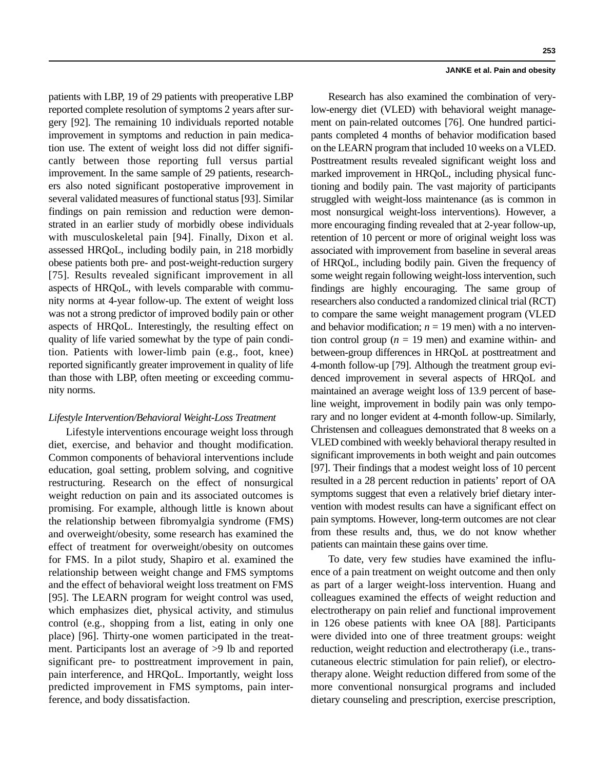patients with LBP, 19 of 29 patients with preoperative LBP reported complete resolution of symptoms 2 years after surgery [92]. The remaining 10 individuals reported notable improvement in symptoms and reduction in pain medication use. The extent of weight loss did not differ significantly between those reporting full versus partial improvement. In the same sample of 29 patients, researchers also noted significant postoperative improvement in several validated measures of functional status [93]. Similar findings on pain remission and reduction were demonstrated in an earlier study of morbidly obese individuals with musculoskeletal pain [94]. Finally, Dixon et al. assessed HRQoL, including bodily pain, in 218 morbidly obese patients both pre- and post-weight-reduction surgery [75]. Results revealed significant improvement in all aspects of HRQoL, with levels comparable with community norms at 4-year follow-up. The extent of weight loss was not a strong predictor of improved bodily pain or other aspects of HRQoL. Interestingly, the resulting effect on quality of life varied somewhat by the type of pain condition. Patients with lower-limb pain (e.g., foot, knee) reported significantly greater improvement in quality of life than those with LBP, often meeting or exceeding community norms.

# *Lifestyle Intervention/Behavioral Weight-Loss Treatment*

Lifestyle interventions encourage weight loss through diet, exercise, and behavior and thought modification. Common components of behavioral interventions include education, goal setting, problem solving, and cognitive restructuring. Research on the effect of nonsurgical weight reduction on pain and its associated outcomes is promising. For example, although little is known about the relationship between fibromyalgia syndrome (FMS) and overweight/obesity, some research has examined the effect of treatment for overweight/obesity on outcomes for FMS. In a pilot study, Shapiro et al. examined the relationship between weight change and FMS symptoms and the effect of behavioral weight loss treatment on FMS [95]. The LEARN program for weight control was used, which emphasizes diet, physical activity, and stimulus control (e.g., shopping from a list, eating in only one place) [96]. Thirty-one women participated in the treatment. Participants lost an average of >9 lb and reported significant pre- to posttreatment improvement in pain, pain interference, and HRQoL. Importantly, weight loss predicted improvement in FMS symptoms, pain interference, and body dissatisfaction.

**253**

Research has also examined the combination of verylow-energy diet (VLED) with behavioral weight management on pain-related outcomes [76]. One hundred participants completed 4 months of behavior modification based on the LEARN program that included 10 weeks on a VLED. Posttreatment results revealed significant weight loss and marked improvement in HRQoL, including physical functioning and bodily pain. The vast majority of participants struggled with weight-loss maintenance (as is common in most nonsurgical weight-loss interventions). However, a more encouraging finding revealed that at 2-year follow-up, retention of 10 percent or more of original weight loss was associated with improvement from baseline in several areas of HRQoL, including bodily pain. Given the frequency of some weight regain following weight-loss intervention, such findings are highly encouraging. The same group of researchers also conducted a randomized clinical trial (RCT) to compare the same weight management program (VLED and behavior modification;  $n = 19$  men) with a no intervention control group  $(n = 19 \text{ men})$  and examine within- and between-group differences in HRQoL at posttreatment and 4-month follow-up [79]. Although the treatment group evidenced improvement in several aspects of HRQoL and maintained an average weight loss of 13.9 percent of baseline weight, improvement in bodily pain was only temporary and no longer evident at 4-month follow-up. Similarly, Christensen and colleagues demonstrated that 8 weeks on a VLED combined with weekly behavioral therapy resulted in significant improvements in both weight and pain outcomes [97]. Their findings that a modest weight loss of 10 percent resulted in a 28 percent reduction in patients' report of OA symptoms suggest that even a relatively brief dietary intervention with modest results can have a significant effect on pain symptoms. However, long-term outcomes are not clear from these results and, thus, we do not know whether patients can maintain these gains over time.

To date, very few studies have examined the influence of a pain treatment on weight outcome and then only as part of a larger weight-loss intervention. Huang and colleagues examined the effects of weight reduction and electrotherapy on pain relief and functional improvement in 126 obese patients with knee OA [88]. Participants were divided into one of three treatment groups: weight reduction, weight reduction and electrotherapy (i.e., transcutaneous electric stimulation for pain relief), or electrotherapy alone. Weight reduction differed from some of the more conventional nonsurgical programs and included dietary counseling and prescription, exercise prescription,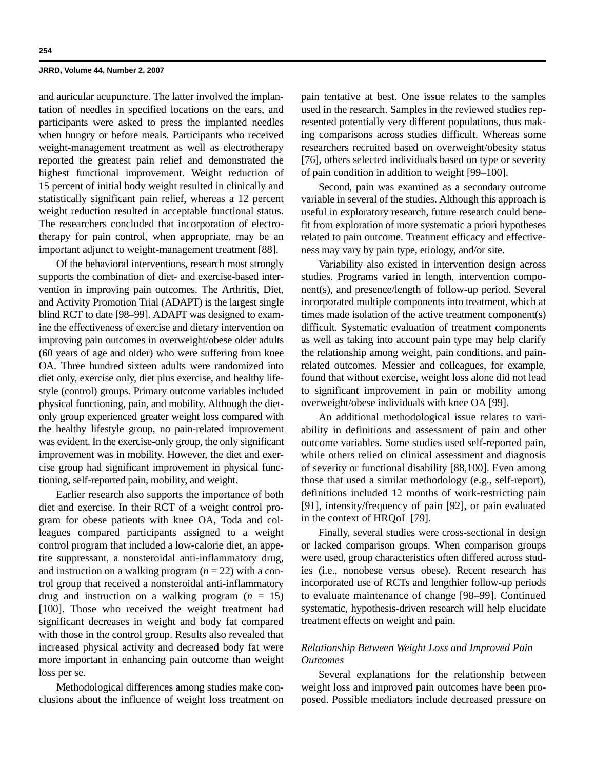and auricular acupuncture. The latter involved the implantation of needles in specified locations on the ears, and participants were asked to press the implanted needles when hungry or before meals. Participants who received weight-management treatment as well as electrotherapy reported the greatest pain relief and demonstrated the highest functional improvement. Weight reduction of 15 percent of initial body weight resulted in clinically and statistically significant pain relief, whereas a 12 percent weight reduction resulted in acceptable functional status. The researchers concluded that incorporation of electrotherapy for pain control, when appropriate, may be an important adjunct to weight-management treatment [88].

Of the behavioral interventions, research most strongly supports the combination of diet- and exercise-based intervention in improving pain outcomes. The Arthritis, Diet, and Activity Promotion Trial (ADAPT) is the largest single blind RCT to date [98–99]. ADAPT was designed to examine the effectiveness of exercise and dietary intervention on improving pain outcomes in overweight/obese older adults (60 years of age and older) who were suffering from knee OA. Three hundred sixteen adults were randomized into diet only, exercise only, diet plus exercise, and healthy lifestyle (control) groups. Primary outcome variables included physical functioning, pain, and mobility. Although the dietonly group experienced greater weight loss compared with the healthy lifestyle group, no pain-related improvement was evident. In the exercise-only group, the only significant improvement was in mobility. However, the diet and exercise group had significant improvement in physical functioning, self-reported pain, mobility, and weight.

Earlier research also supports the importance of both diet and exercise. In their RCT of a weight control program for obese patients with knee OA, Toda and colleagues compared participants assigned to a weight control program that included a low-calorie diet, an appetite suppressant, a nonsteroidal anti-inflammatory drug, and instruction on a walking program (*n* = 22) with a control group that received a nonsteroidal anti-inflammatory drug and instruction on a walking program  $(n = 15)$ [100]. Those who received the weight treatment had significant decreases in weight and body fat compared with those in the control group. Results also revealed that increased physical activity and decreased body fat were more important in enhancing pain outcome than weight loss per se.

Methodological differences among studies make conclusions about the influence of weight loss treatment on pain tentative at best. One issue relates to the samples used in the research. Samples in the reviewed studies represented potentially very different populations, thus making comparisons across studies difficult. Whereas some researchers recruited based on overweight/obesity status [76], others selected individuals based on type or severity of pain condition in addition to weight [99–100].

Second, pain was examined as a secondary outcome variable in several of the studies. Although this approach is useful in exploratory research, future research could benefit from exploration of more systematic a priori hypotheses related to pain outcome. Treatment efficacy and effectiveness may vary by pain type, etiology, and/or site.

Variability also existed in intervention design across studies. Programs varied in length, intervention component(s), and presence/length of follow-up period. Several incorporated multiple components into treatment, which at times made isolation of the active treatment component(s) difficult. Systematic evaluation of treatment components as well as taking into account pain type may help clarify the relationship among weight, pain conditions, and painrelated outcomes. Messier and colleagues, for example, found that without exercise, weight loss alone did not lead to significant improvement in pain or mobility among overweight/obese individuals with knee OA [99].

An additional methodological issue relates to variability in definitions and assessment of pain and other outcome variables. Some studies used self-reported pain, while others relied on clinical assessment and diagnosis of severity or functional disability [88,100]. Even among those that used a similar methodology (e.g., self-report), definitions included 12 months of work-restricting pain [91], intensity/frequency of pain [92], or pain evaluated in the context of HRQoL [79].

Finally, several studies were cross-sectional in design or lacked comparison groups. When comparison groups were used, group characteristics often differed across studies (i.e., nonobese versus obese). Recent research has incorporated use of RCTs and lengthier follow-up periods to evaluate maintenance of change [98–99]. Continued systematic, hypothesis-driven research will help elucidate treatment effects on weight and pain.

# *Relationship Between Weight Loss and Improved Pain Outcomes*

Several explanations for the relationship between weight loss and improved pain outcomes have been proposed. Possible mediators include decreased pressure on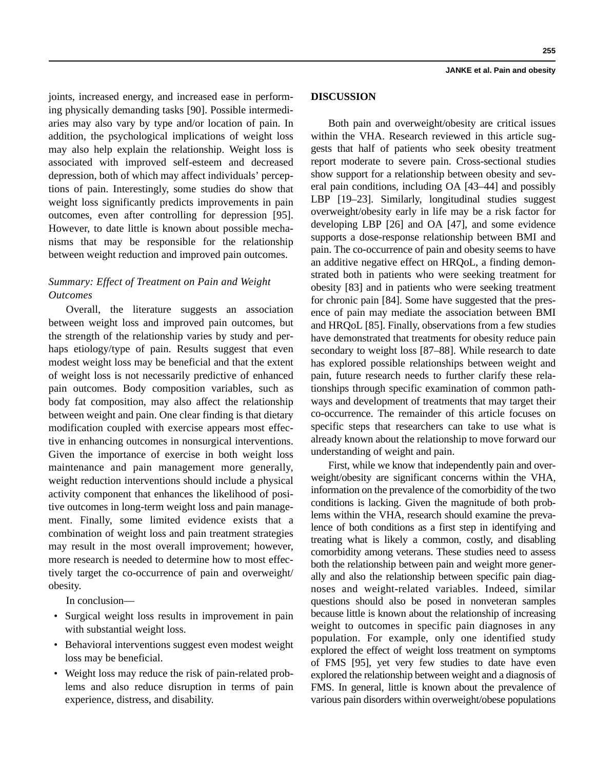joints, increased energy, and increased ease in performing physically demanding tasks [90]. Possible intermediaries may also vary by type and/or location of pain. In addition, the psychological implications of weight loss may also help explain the relationship. Weight loss is associated with improved self-esteem and decreased depression, both of which may affect individuals' perceptions of pain. Interestingly, some studies do show that weight loss significantly predicts improvements in pain outcomes, even after controlling for depression [95]. However, to date little is known about possible mechanisms that may be responsible for the relationship between weight reduction and improved pain outcomes.

# *Summary: Effect of Treatment on Pain and Weight Outcomes*

Overall, the literature suggests an association between weight loss and improved pain outcomes, but the strength of the relationship varies by study and perhaps etiology/type of pain. Results suggest that even modest weight loss may be beneficial and that the extent of weight loss is not necessarily predictive of enhanced pain outcomes. Body composition variables, such as body fat composition, may also affect the relationship between weight and pain. One clear finding is that dietary modification coupled with exercise appears most effective in enhancing outcomes in nonsurgical interventions. Given the importance of exercise in both weight loss maintenance and pain management more generally, weight reduction interventions should include a physical activity component that enhances the likelihood of positive outcomes in long-term weight loss and pain management. Finally, some limited evidence exists that a combination of weight loss and pain treatment strategies may result in the most overall improvement; however, more research is needed to determine how to most effectively target the co-occurrence of pain and overweight/ obesity.

In conclusion—

- Surgical weight loss results in improvement in pain with substantial weight loss.
- Behavioral interventions suggest even modest weight loss may be beneficial.
- Weight loss may reduce the risk of pain-related problems and also reduce disruption in terms of pain experience, distress, and disability.

# **DISCUSSION**

Both pain and overweight/obesity are critical issues within the VHA. Research reviewed in this article suggests that half of patients who seek obesity treatment report moderate to severe pain. Cross-sectional studies show support for a relationship between obesity and several pain conditions, including OA [43–44] and possibly LBP [19–23]. Similarly, longitudinal studies suggest overweight/obesity early in life may be a risk factor for developing LBP [26] and OA [47], and some evidence supports a dose-response relationship between BMI and pain. The co-occurrence of pain and obesity seems to have an additive negative effect on HRQoL, a finding demonstrated both in patients who were seeking treatment for obesity [83] and in patients who were seeking treatment for chronic pain [84]. Some have suggested that the presence of pain may mediate the association between BMI and HRQoL [85]. Finally, observations from a few studies have demonstrated that treatments for obesity reduce pain secondary to weight loss [87–88]. While research to date has explored possible relationships between weight and pain, future research needs to further clarify these relationships through specific examination of common pathways and development of treatments that may target their co-occurrence. The remainder of this article focuses on specific steps that researchers can take to use what is already known about the relationship to move forward our understanding of weight and pain.

First, while we know that independently pain and overweight/obesity are significant concerns within the VHA, information on the prevalence of the comorbidity of the two conditions is lacking. Given the magnitude of both problems within the VHA, research should examine the prevalence of both conditions as a first step in identifying and treating what is likely a common, costly, and disabling comorbidity among veterans. These studies need to assess both the relationship between pain and weight more generally and also the relationship between specific pain diagnoses and weight-related variables. Indeed, similar questions should also be posed in nonveteran samples because little is known about the relationship of increasing weight to outcomes in specific pain diagnoses in any population. For example, only one identified study explored the effect of weight loss treatment on symptoms of FMS [95], yet very few studies to date have even explored the relationship between weight and a diagnosis of FMS. In general, little is known about the prevalence of various pain disorders within overweight/obese populations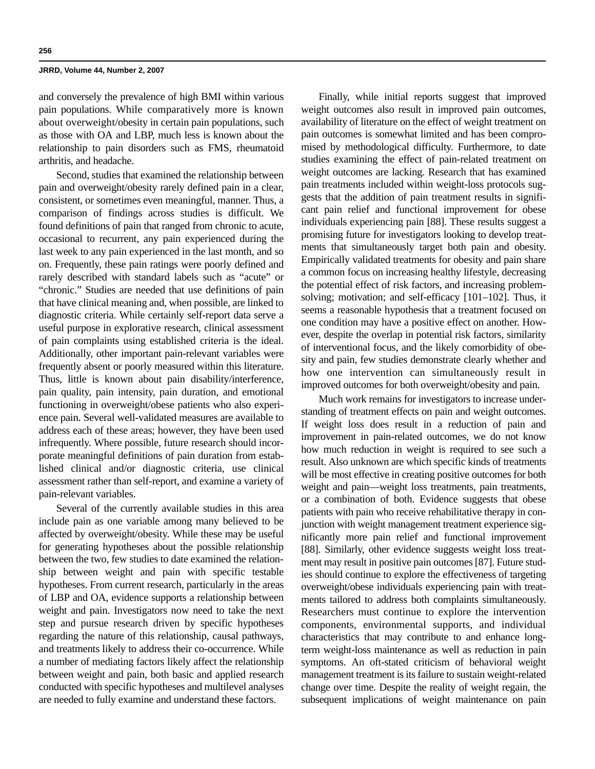and conversely the prevalence of high BMI within various pain populations. While comparatively more is known about overweight/obesity in certain pain populations, such as those with OA and LBP, much less is known about the relationship to pain disorders such as FMS, rheumatoid arthritis, and headache.

Second, studies that examined the relationship between pain and overweight/obesity rarely defined pain in a clear, consistent, or sometimes even meaningful, manner. Thus, a comparison of findings across studies is difficult. We found definitions of pain that ranged from chronic to acute, occasional to recurrent, any pain experienced during the last week to any pain experienced in the last month, and so on. Frequently, these pain ratings were poorly defined and rarely described with standard labels such as "acute" or "chronic." Studies are needed that use definitions of pain that have clinical meaning and, when possible, are linked to diagnostic criteria. While certainly self-report data serve a useful purpose in explorative research, clinical assessment of pain complaints using established criteria is the ideal. Additionally, other important pain-relevant variables were frequently absent or poorly measured within this literature. Thus, little is known about pain disability/interference, pain quality, pain intensity, pain duration, and emotional functioning in overweight/obese patients who also experience pain. Several well-validated measures are available to address each of these areas; however, they have been used infrequently. Where possible, future research should incorporate meaningful definitions of pain duration from established clinical and/or diagnostic criteria, use clinical assessment rather than self-report, and examine a variety of pain-relevant variables.

Several of the currently available studies in this area include pain as one variable among many believed to be affected by overweight/obesity. While these may be useful for generating hypotheses about the possible relationship between the two, few studies to date examined the relationship between weight and pain with specific testable hypotheses. From current research, particularly in the areas of LBP and OA, evidence supports a relationship between weight and pain. Investigators now need to take the next step and pursue research driven by specific hypotheses regarding the nature of this relationship, causal pathways, and treatments likely to address their co-occurrence. While a number of mediating factors likely affect the relationship between weight and pain, both basic and applied research conducted with specific hypotheses and multilevel analyses are needed to fully examine and understand these factors.

Finally, while initial reports suggest that improved weight outcomes also result in improved pain outcomes, availability of literature on the effect of weight treatment on pain outcomes is somewhat limited and has been compromised by methodological difficulty. Furthermore, to date studies examining the effect of pain-related treatment on weight outcomes are lacking. Research that has examined pain treatments included within weight-loss protocols suggests that the addition of pain treatment results in significant pain relief and functional improvement for obese individuals experiencing pain [88]. These results suggest a promising future for investigators looking to develop treatments that simultaneously target both pain and obesity. Empirically validated treatments for obesity and pain share a common focus on increasing healthy lifestyle, decreasing the potential effect of risk factors, and increasing problemsolving; motivation; and self-efficacy [101–102]. Thus, it seems a reasonable hypothesis that a treatment focused on one condition may have a positive effect on another. However, despite the overlap in potential risk factors, similarity of interventional focus, and the likely comorbidity of obesity and pain, few studies demonstrate clearly whether and how one intervention can simultaneously result in improved outcomes for both overweight/obesity and pain.

Much work remains for investigators to increase understanding of treatment effects on pain and weight outcomes. If weight loss does result in a reduction of pain and improvement in pain-related outcomes, we do not know how much reduction in weight is required to see such a result. Also unknown are which specific kinds of treatments will be most effective in creating positive outcomes for both weight and pain—weight loss treatments, pain treatments, or a combination of both. Evidence suggests that obese patients with pain who receive rehabilitative therapy in conjunction with weight management treatment experience significantly more pain relief and functional improvement [88]. Similarly, other evidence suggests weight loss treatment may result in positive pain outcomes [87]. Future studies should continue to explore the effectiveness of targeting overweight/obese individuals experiencing pain with treatments tailored to address both complaints simultaneously. Researchers must continue to explore the intervention components, environmental supports, and individual characteristics that may contribute to and enhance longterm weight-loss maintenance as well as reduction in pain symptoms. An oft-stated criticism of behavioral weight management treatment is its failure to sustain weight-related change over time. Despite the reality of weight regain, the subsequent implications of weight maintenance on pain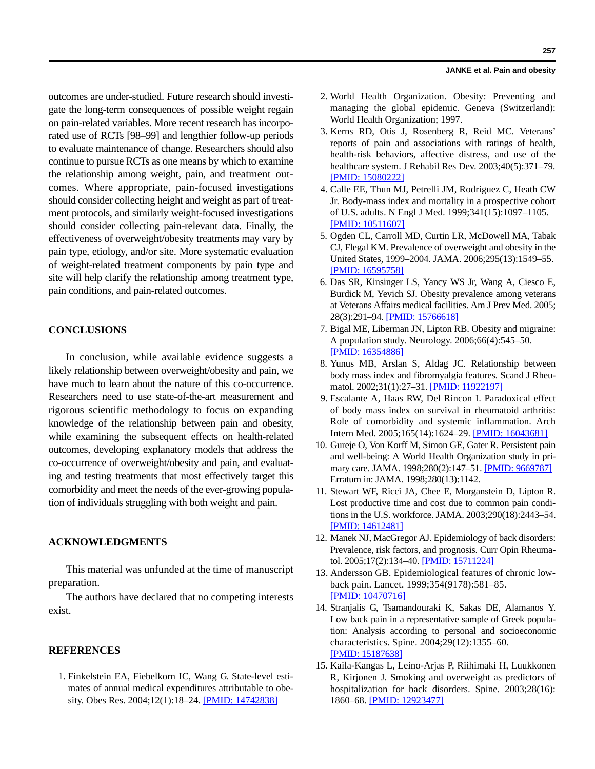**257**

outcomes are under-studied. Future research should investigate the long-term consequences of possible weight regain on pain-related variables. More recent research has incorporated use of RCTs [98–99] and lengthier follow-up periods to evaluate maintenance of change. Researchers should also continue to pursue RCTs as one means by which to examine the relationship among weight, pain, and treatment outcomes. Where appropriate, pain-focused investigations should consider collecting height and weight as part of treatment protocols, and similarly weight-focused investigations should consider collecting pain-relevant data. Finally, the effectiveness of overweight/obesity treatments may vary by pain type, etiology, and/or site. More systematic evaluation of weight-related treatment components by pain type and site will help clarify the relationship among treatment type, pain conditions, and pain-related outcomes.

## **CONCLUSIONS**

In conclusion, while available evidence suggests a likely relationship between overweight/obesity and pain, we have much to learn about the nature of this co-occurrence. Researchers need to use state-of-the-art measurement and rigorous scientific methodology to focus on expanding knowledge of the relationship between pain and obesity, while examining the subsequent effects on health-related outcomes, developing explanatory models that address the co-occurrence of overweight/obesity and pain, and evaluating and testing treatments that most effectively target this comorbidity and meet the needs of the ever-growing population of individuals struggling with both weight and pain.

### **ACKNOWLEDGMENTS**

This material was unfunded at the time of manuscript preparation.

The authors have declared that no competing interests exist.

### **REFERENCES**

 1. Finkelstein EA, Fiebelkorn IC, Wang G. State-level estimates of annual medical expenditures attributable to obesity. Obes Res. 2004;12(1):18–24. [\[PMID: 14742838\]](http://www.ncbi.nlm.nih.gov/entrez/query.fcgi?db=pubmed&cmd=Retrieve&dopt=AbstractPlus&list_uids=14742838)

- 2. World Health Organization. Obesity: Preventing and managing the global epidemic. Geneva (Switzerland): World Health Organization; 1997.
- 3. Kerns RD, Otis J, Rosenberg R, Reid MC. Veterans' reports of pain and associations with ratings of health, health-risk behaviors, affective distress, and use of the healthcare system. J Rehabil Res Dev. 2003;40(5):371–79. [\[PMID: 15080222\]](http://www.ncbi.nlm.nih.gov/entrez/query.fcgi?db=pubmed&cmd=Retrieve&dopt=AbstractPlus&list_uids=15080222)
- 4. Calle EE, Thun MJ, Petrelli JM, Rodriguez C, Heath CW Jr. Body-mass index and mortality in a prospective cohort of U.S. adults. N Engl J Med. 1999;341(15):1097–1105. [\[PMID: 10511607\]](http://www.ncbi.nlm.nih.gov/entrez/query.fcgi?db=pubmed&cmd=Retrieve&dopt=AbstractPlus&list_uids=10511607)
- 5. Ogden CL, Carroll MD, Curtin LR, McDowell MA, Tabak CJ, Flegal KM. Prevalence of overweight and obesity in the United States, 1999–2004. JAMA. 2006;295(13):1549–55. [\[PMID: 16595758\]](http://www.ncbi.nlm.nih.gov/entrez/query.fcgi?db=pubmed&cmd=Retrieve&dopt=AbstractPlus&list_uids=16595758)
- 6. Das SR, Kinsinger LS, Yancy WS Jr, Wang A, Ciesco E, Burdick M, Yevich SJ. Obesity prevalence among veterans at Veterans Affairs medical facilities. Am J Prev Med. 2005; 28(3):291–94. [\[PMID: 15766618\]](http://www.ncbi.nlm.nih.gov/entrez/query.fcgi?db=pubmed&cmd=Retrieve&dopt=AbstractPlus&list_uids=15766618)
- 7. Bigal ME, Liberman JN, Lipton RB. Obesity and migraine: A population study. Neurology. 2006;66(4):545–50. [\[PMID: 16354886\]](http://www.ncbi.nlm.nih.gov/entrez/query.fcgi?db=pubmed&cmd=Retrieve&dopt=AbstractPlus&list_uids=16354886)
- 8. Yunus MB, Arslan S, Aldag JC. Relationship between body mass index and fibromyalgia features. Scand J Rheumatol. 2002;31(1):27–31. [\[PMID: 11922197\]](http://www.ncbi.nlm.nih.gov/entrez/query.fcgi?db=pubmed&cmd=Retrieve&dopt=AbstractPlus&list_uids=11922197)
- 9. Escalante A, Haas RW, Del Rincon I. Paradoxical effect of body mass index on survival in rheumatoid arthritis: Role of comorbidity and systemic inflammation. Arch Intern Med. 2005;165(14):1624–29. [\[PMID: 16043681\]](http://www.ncbi.nlm.nih.gov/entrez/query.fcgi?db=pubmed&cmd=Retrieve&dopt=AbstractPlus&list_uids=16043681)
- 10. Gureje O, Von Korff M, Simon GE, Gater R. Persistent pain and well-being: A World Health Organization study in pri-mary care. JAMA. 1998;280(2):147-51. [\[PMID: 9669787\]](http://www.ncbi.nlm.nih.gov/entrez/query.fcgi?db=pubmed&cmd=Retrieve&dopt=AbstractPlus&list_uids=9669787) Erratum in: JAMA. 1998;280(13):1142.
- 11. Stewart WF, Ricci JA, Chee E, Morganstein D, Lipton R. Lost productive time and cost due to common pain conditions in the U.S. workforce. JAMA. 2003;290(18):2443–54. [\[PMID: 14612481\]](http://www.ncbi.nlm.nih.gov/entrez/query.fcgi?db=pubmed&cmd=Retrieve&dopt=AbstractPlus&list_uids=14612481)
- 12. Manek NJ, MacGregor AJ. Epidemiology of back disorders: Prevalence, risk factors, and prognosis. Curr Opin Rheumatol. 2005;17(2):134–40. [\[PMID: 15711224\]](http://www.ncbi.nlm.nih.gov/entrez/query.fcgi?db=pubmed&cmd=Retrieve&dopt=AbstractPlus&list_uids=15711224)
- 13. Andersson GB. Epidemiological features of chronic lowback pain. Lancet. 1999;354(9178):581–85. [\[PMID: 10470716\]](http://www.ncbi.nlm.nih.gov/entrez/query.fcgi?db=pubmed&cmd=Retrieve&dopt=AbstractPlus&list_uids=10470716)
- 14. Stranjalis G, Tsamandouraki K, Sakas DE, Alamanos Y. Low back pain in a representative sample of Greek population: Analysis according to personal and socioeconomic characteristics. Spine. 2004;29(12):1355–60. [\[PMID: 15187638\]](http://www.ncbi.nlm.nih.gov/entrez/query.fcgi?db=pubmed&cmd=Retrieve&dopt=AbstractPlus&list_uids=15187638)
- 15. Kaila-Kangas L, Leino-Arjas P, Riihimaki H, Luukkonen R, Kirjonen J. Smoking and overweight as predictors of hospitalization for back disorders. Spine. 2003;28(16): 1860–68. [\[PMID: 12923477\]](http://www.ncbi.nlm.nih.gov/entrez/query.fcgi?db=pubmed&cmd=Retrieve&dopt=AbstractPlus&list_uids=12923477)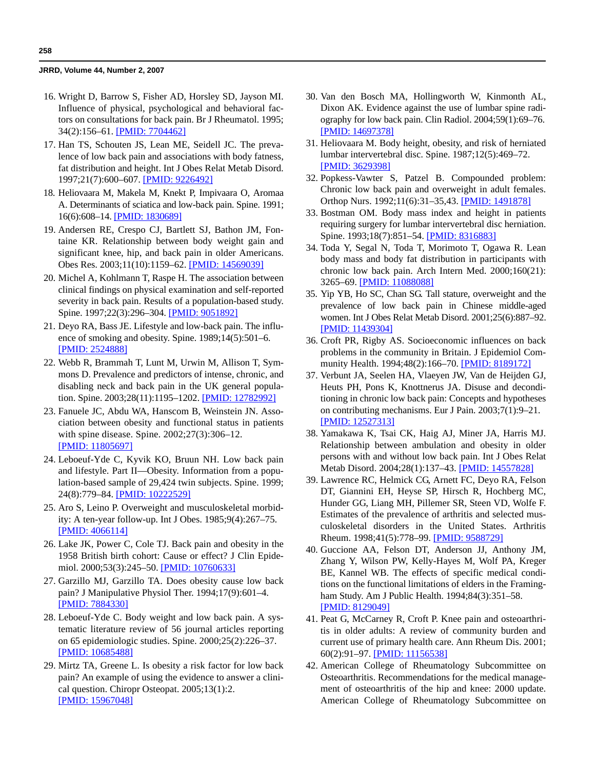- 16. Wright D, Barrow S, Fisher AD, Horsley SD, Jayson MI. Influence of physical, psychological and behavioral factors on consultations for back pain. Br J Rheumatol. 1995; 34(2):156–61. [\[PMID: 7704462\]](http://www.ncbi.nlm.nih.gov/entrez/query.fcgi?db=pubmed&cmd=Retrieve&dopt=AbstractPlus&list_uids=7704462)
- 17. Han TS, Schouten JS, Lean ME, Seidell JC. The prevalence of low back pain and associations with body fatness, fat distribution and height. Int J Obes Relat Metab Disord. 1997;21(7):600–607. [\[PMID: 9226492\]](http://www.ncbi.nlm.nih.gov/entrez/query.fcgi?db=pubmed&cmd=Retrieve&dopt=AbstractPlus&list_uids=9226492)
- 18. Heliovaara M, Makela M, Knekt P, Impivaara O, Aromaa A. Determinants of sciatica and low-back pain. Spine. 1991; 16(6):608–14. [\[PMID: 1830689\]](http://www.ncbi.nlm.nih.gov/entrez/query.fcgi?db=pubmed&cmd=Retrieve&dopt=AbstractPlus&list_uids=1830689)
- 19. Andersen RE, Crespo CJ, Bartlett SJ, Bathon JM, Fontaine KR. Relationship between body weight gain and significant knee, hip, and back pain in older Americans. Obes Res. 2003;11(10):1159–62. [\[PMID: 14569039\]](http://www.ncbi.nlm.nih.gov/entrez/query.fcgi?db=pubmed&cmd=Retrieve&dopt=AbstractPlus&list_uids=14569039)
- 20. Michel A, Kohlmann T, Raspe H. The association between clinical findings on physical examination and self-reported severity in back pain. Results of a population-based study. Spine. 1997;22(3):296–304. [\[PMID: 9051892\]](http://www.ncbi.nlm.nih.gov/entrez/query.fcgi?db=pubmed&cmd=Retrieve&dopt=AbstractPlus&list_uids=9051892)
- 21. Deyo RA, Bass JE. Lifestyle and low-back pain. The influence of smoking and obesity. Spine. 1989;14(5):501–6. [\[PMID: 2524888\]](http://www.ncbi.nlm.nih.gov/entrez/query.fcgi?db=pubmed&cmd=Retrieve&dopt=AbstractPlus&list_uids=2524888)
- 22. Webb R, Brammah T, Lunt M, Urwin M, Allison T, Symmons D. Prevalence and predictors of intense, chronic, and disabling neck and back pain in the UK general popula-tion. Spine. 2003;28(11):1195-1202. [\[PMID: 12782992\]](http://www.ncbi.nlm.nih.gov/entrez/query.fcgi?db=pubmed&cmd=Retrieve&dopt=AbstractPlus&list_uids=12782992)
- 23. Fanuele JC, Abdu WA, Hanscom B, Weinstein JN. Association between obesity and functional status in patients with spine disease. Spine. 2002;27(3):306–12. [\[PMID: 11805697\]](http://www.ncbi.nlm.nih.gov/entrez/query.fcgi?db=pubmed&cmd=Retrieve&dopt=AbstractPlus&list_uids=11805697)
- 24. Leboeuf-Yde C, Kyvik KO, Bruun NH. Low back pain and lifestyle. Part II—Obesity. Information from a population-based sample of 29,424 twin subjects. Spine. 1999; 24(8):779–84. [\[PMID: 10222529\]](http://www.ncbi.nlm.nih.gov/entrez/query.fcgi?db=pubmed&cmd=Retrieve&dopt=AbstractPlus&list_uids=10222529)
- 25. Aro S, Leino P. Overweight and musculoskeletal morbidity: A ten-year follow-up. Int J Obes. 1985;9(4):267–75. [\[PMID: 4066114\]](http://www.ncbi.nlm.nih.gov/entrez/query.fcgi?db=pubmed&cmd=Retrieve&dopt=AbstractPlus&list_uids=4066114)
- 26. Lake JK, Power C, Cole TJ. Back pain and obesity in the 1958 British birth cohort: Cause or effect? J Clin Epide-miol. 2000;53(3):245-50. [\[PMID: 10760633\]](http://www.ncbi.nlm.nih.gov/entrez/query.fcgi?db=pubmed&cmd=Retrieve&dopt=AbstractPlus&list_uids=10760633)
- 27. Garzillo MJ, Garzillo TA. Does obesity cause low back pain? J Manipulative Physiol Ther. 1994;17(9):601–4. [\[PMID: 7884330\]](http://www.ncbi.nlm.nih.gov/entrez/query.fcgi?db=pubmed&cmd=Retrieve&dopt=AbstractPlus&list_uids=7884330)
- 28. Leboeuf-Yde C. Body weight and low back pain. A systematic literature review of 56 journal articles reporting on 65 epidemiologic studies. Spine. 2000;25(2):226–37. [\[PMID: 10685488\]](http://www.ncbi.nlm.nih.gov/entrez/query.fcgi?db=pubmed&cmd=Retrieve&dopt=AbstractPlus&list_uids=10685488)
- 29. Mirtz TA, Greene L. Is obesity a risk factor for low back pain? An example of using the evidence to answer a clinical question. Chiropr Osteopat. 2005;13(1):2. [\[PMID: 15967048\]](http://www.ncbi.nlm.nih.gov/entrez/query.fcgi?db=pubmed&cmd=Retrieve&dopt=AbstractPlus&list_uids=15967048)
- 30. Van den Bosch MA, Hollingworth W, Kinmonth AL, Dixon AK. Evidence against the use of lumbar spine radiography for low back pain. Clin Radiol. 2004;59(1):69–76. [\[PMID: 14697378\]](http://www.ncbi.nlm.nih.gov/entrez/query.fcgi?db=pubmed&cmd=Retrieve&dopt=AbstractPlus&list_uids=14697378)
- 31. Heliovaara M. Body height, obesity, and risk of herniated lumbar intervertebral disc. Spine. 1987;12(5):469–72. [\[PMID: 3629398\]](http://www.ncbi.nlm.nih.gov/entrez/query.fcgi?db=pubmed&cmd=Retrieve&dopt=AbstractPlus&list_uids=3629398)
- 32. Popkess-Vawter S, Patzel B. Compounded problem: Chronic low back pain and overweight in adult females. Orthop Nurs. 1992;11(6):31–35,43. [\[PMID: 1491878\]](http://www.ncbi.nlm.nih.gov/entrez/query.fcgi?db=pubmed&cmd=Retrieve&dopt=AbstractPlus&list_uids=1491878)
- 33. Bostman OM. Body mass index and height in patients requiring surgery for lumbar intervertebral disc herniation. Spine. 1993;18(7):851–54. [\[PMID: 8316883\]](http://www.ncbi.nlm.nih.gov/entrez/query.fcgi?db=pubmed&cmd=Retrieve&dopt=AbstractPlus&list_uids=8316883)
- 34. Toda Y, Segal N, Toda T, Morimoto T, Ogawa R. Lean body mass and body fat distribution in participants with chronic low back pain. Arch Intern Med. 2000;160(21): 3265–69. [\[PMID: 11088088\]](http://www.ncbi.nlm.nih.gov/entrez/query.fcgi?db=pubmed&cmd=Retrieve&dopt=AbstractPlus&list_uids=11088088)
- 35. Yip YB, Ho SC, Chan SG. Tall stature, overweight and the prevalence of low back pain in Chinese middle-aged women. Int J Obes Relat Metab Disord. 2001;25(6):887–92. [\[PMID: 11439304\]](http://www.ncbi.nlm.nih.gov/entrez/query.fcgi?db=pubmed&cmd=Retrieve&dopt=AbstractPlus&list_uids=11439304)
- 36. Croft PR, Rigby AS. Socioeconomic influences on back problems in the community in Britain. J Epidemiol Community Health. 1994;48(2):166–70. [\[PMID: 8189172\]](http://www.ncbi.nlm.nih.gov/entrez/query.fcgi?db=pubmed&cmd=Retrieve&dopt=AbstractPlus&list_uids=8189172)
- 37. Verbunt JA, Seelen HA, Vlaeyen JW, Van de Heijden GJ, Heuts PH, Pons K, Knottnerus JA. Disuse and deconditioning in chronic low back pain: Concepts and hypotheses on contributing mechanisms. Eur J Pain. 2003;7(1):9–21. [\[PMID: 12527313\]](http://www.ncbi.nlm.nih.gov/entrez/query.fcgi?db=pubmed&cmd=Retrieve&dopt=AbstractPlus&list_uids=12527313)
- 38. Yamakawa K, Tsai CK, Haig AJ, Miner JA, Harris MJ. Relationship between ambulation and obesity in older persons with and without low back pain. Int J Obes Relat Metab Disord. 2004;28(1):137–43. [\[PMID: 14557828\]](http://www.ncbi.nlm.nih.gov/entrez/query.fcgi?db=pubmed&cmd=Retrieve&dopt=AbstractPlus&list_uids=14557828)
- 39. Lawrence RC, Helmick CG, Arnett FC, Deyo RA, Felson DT, Giannini EH, Heyse SP, Hirsch R, Hochberg MC, Hunder GG, Liang MH, Pillemer SR, Steen VD, Wolfe F. Estimates of the prevalence of arthritis and selected musculoskeletal disorders in the United States. Arthritis Rheum. 1998;41(5):778–99. [\[PMID: 9588729\]](http://www.ncbi.nlm.nih.gov/entrez/query.fcgi?db=pubmed&cmd=Retrieve&dopt=AbstractPlus&list_uids=9588729)
- 40. Guccione AA, Felson DT, Anderson JJ, Anthony JM, Zhang Y, Wilson PW, Kelly-Hayes M, Wolf PA, Kreger BE, Kannel WB. The effects of specific medical conditions on the functional limitations of elders in the Framingham Study. Am J Public Health. 1994;84(3):351–58. [\[PMID: 8129049\]](http://www.ncbi.nlm.nih.gov/entrez/query.fcgi?db=pubmed&cmd=Retrieve&dopt=AbstractPlus&list_uids=8129049)
- 41. Peat G, McCarney R, Croft P. Knee pain and osteoarthritis in older adults: A review of community burden and current use of primary health care. Ann Rheum Dis. 2001; 60(2):91–97. [\[PMID: 11156538\]](http://www.ncbi.nlm.nih.gov/entrez/query.fcgi?db=pubmed&cmd=Retrieve&dopt=AbstractPlus&list_uids=11156538)
- 42. American College of Rheumatology Subcommittee on Osteoarthritis. Recommendations for the medical management of osteoarthritis of the hip and knee: 2000 update. American College of Rheumatology Subcommittee on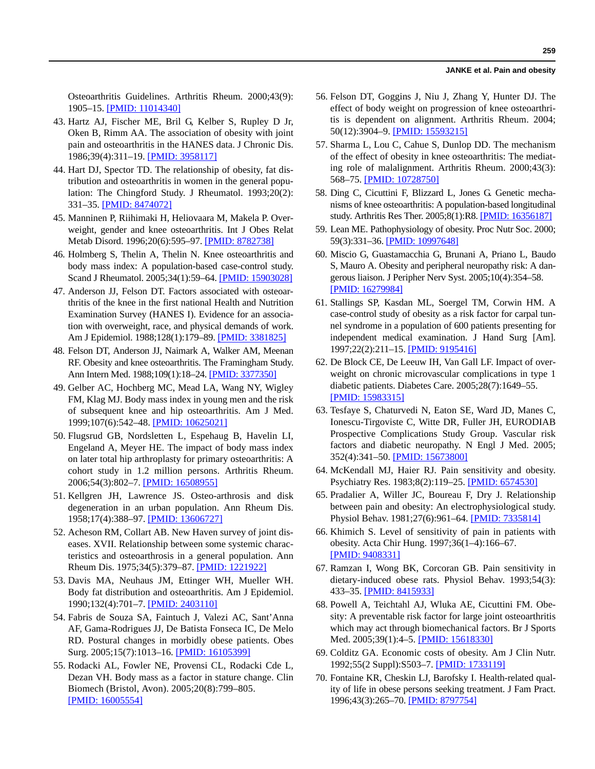#### **JANKE et al. Pain and obesity**

Osteoarthritis Guidelines. Arthritis Rheum. 2000;43(9): 1905–15. [\[PMID: 11014340\]](http://www.ncbi.nlm.nih.gov/entrez/query.fcgi?db=pubmed&cmd=Retrieve&dopt=AbstractPlus&list_uids=11014340)

- 43. Hartz AJ, Fischer ME, Bril G, Kelber S, Rupley D Jr, Oken B, Rimm AA. The association of obesity with joint pain and osteoarthritis in the HANES data. J Chronic Dis. 1986;39(4):311–19. [\[PMID: 3958117\]](http://www.ncbi.nlm.nih.gov/entrez/query.fcgi?db=pubmed&cmd=Retrieve&dopt=AbstractPlus&list_uids=3958117)
- 44. Hart DJ, Spector TD. The relationship of obesity, fat distribution and osteoarthritis in women in the general population: The Chingford Study. J Rheumatol. 1993;20(2): 331–35. [\[PMID: 8474072\]](http://www.ncbi.nlm.nih.gov/entrez/query.fcgi?db=pubmed&cmd=Retrieve&dopt=AbstractPlus&list_uids=8474072)
- 45. Manninen P, Riihimaki H, Heliovaara M, Makela P. Overweight, gender and knee osteoarthritis. Int J Obes Relat Metab Disord. 1996;20(6):595–97. [\[PMID: 8782738\]](http://www.ncbi.nlm.nih.gov/entrez/query.fcgi?db=pubmed&cmd=Retrieve&dopt=AbstractPlus&list_uids=8782738)
- 46. Holmberg S, Thelin A, Thelin N. Knee osteoarthritis and body mass index: A population-based case-control study. Scand J Rheumatol. 2005;34(1):59–64. [\[PMID: 15903028\]](http://www.ncbi.nlm.nih.gov/entrez/query.fcgi?db=pubmed&cmd=Retrieve&dopt=AbstractPlus&list_uids=15903028)
- 47. Anderson JJ, Felson DT. Factors associated with osteoarthritis of the knee in the first national Health and Nutrition Examination Survey (HANES I). Evidence for an association with overweight, race, and physical demands of work. Am J Epidemiol. 1988;128(1):179–89. [\[PMID: 3381825\]](http://www.ncbi.nlm.nih.gov/entrez/query.fcgi?db=pubmed&cmd=Retrieve&dopt=AbstractPlus&list_uids=3381825)
- 48. Felson DT, Anderson JJ, Naimark A, Walker AM, Meenan RF. Obesity and knee osteoarthritis. The Framingham Study. Ann Intern Med. 1988;109(1):18–24. [\[PMID: 3377350\]](http://www.ncbi.nlm.nih.gov/entrez/query.fcgi?db=pubmed&cmd=Retrieve&dopt=AbstractPlus&list_uids=3377350)
- 49. Gelber AC, Hochberg MC, Mead LA, Wang NY, Wigley FM, Klag MJ. Body mass index in young men and the risk of subsequent knee and hip osteoarthritis. Am J Med. 1999;107(6):542–48. [\[PMID: 10625021\]](http://www.ncbi.nlm.nih.gov/entrez/query.fcgi?db=pubmed&cmd=Retrieve&dopt=AbstractPlus&list_uids=10625021)
- 50. Flugsrud GB, Nordsletten L, Espehaug B, Havelin LI, Engeland A, Meyer HE. The impact of body mass index on later total hip arthroplasty for primary osteoarthritis: A cohort study in 1.2 million persons. Arthritis Rheum. 2006;54(3):802–7. [\[PMID: 16508955\]](http://www.ncbi.nlm.nih.gov/entrez/query.fcgi?db=pubmed&cmd=Retrieve&dopt=AbstractPlus&list_uids=16508955)
- 51. Kellgren JH, Lawrence JS. Osteo-arthrosis and disk degeneration in an urban population. Ann Rheum Dis. 1958;17(4):388–97. [\[PMID: 13606727\]](http://www.ncbi.nlm.nih.gov/entrez/query.fcgi?db=pubmed&cmd=Retrieve&dopt=AbstractPlus&list_uids=13606727)
- 52. Acheson RM, Collart AB. New Haven survey of joint diseases. XVII. Relationship between some systemic characteristics and osteoarthrosis in a general population. Ann Rheum Dis. 1975;34(5):379–87. [\[PMID: 1221922\]](http://www.ncbi.nlm.nih.gov/entrez/query.fcgi?db=pubmed&cmd=Retrieve&dopt=AbstractPlus&list_uids=1221922)
- 53. Davis MA, Neuhaus JM, Ettinger WH, Mueller WH. Body fat distribution and osteoarthritis. Am J Epidemiol. 1990;132(4):701–7. [\[PMID: 2403110\]](http://www.ncbi.nlm.nih.gov/entrez/query.fcgi?db=pubmed&cmd=Retrieve&dopt=AbstractPlus&list_uids=2403110)
- 54. Fabris de Souza SA, Faintuch J, Valezi AC, Sant'Anna AF, Gama-Rodrigues JJ, De Batista Fonseca IC, De Melo RD. Postural changes in morbidly obese patients. Obes Surg. 2005;15(7):1013–16. [\[PMID: 16105399\]](http://www.ncbi.nlm.nih.gov/entrez/query.fcgi?db=pubmed&cmd=Retrieve&dopt=AbstractPlus&list_uids=16105399)
- 55. Rodacki AL, Fowler NE, Provensi CL, Rodacki Cde L, Dezan VH. Body mass as a factor in stature change. Clin Biomech (Bristol, Avon). 2005;20(8):799–805. [\[PMID: 16005554\]](http://www.ncbi.nlm.nih.gov/entrez/query.fcgi?db=pubmed&cmd=Retrieve&dopt=AbstractPlus&list_uids=16005554)
- 56. Felson DT, Goggins J, Niu J, Zhang Y, Hunter DJ. The effect of body weight on progression of knee osteoarthritis is dependent on alignment. Arthritis Rheum. 2004; 50(12):3904–9. [\[PMID: 15593215\]](http://www.ncbi.nlm.nih.gov/entrez/query.fcgi?db=pubmed&cmd=Retrieve&dopt=AbstractPlus&list_uids=15593215)
- 57. Sharma L, Lou C, Cahue S, Dunlop DD. The mechanism of the effect of obesity in knee osteoarthritis: The mediating role of malalignment. Arthritis Rheum. 2000;43(3): 568–75. [\[PMID: 10728750\]](http://www.ncbi.nlm.nih.gov/entrez/query.fcgi?db=pubmed&cmd=Retrieve&dopt=AbstractPlus&list_uids=10728750)
- 58. Ding C, Cicuttini F, Blizzard L, Jones G. Genetic mechanisms of knee osteoarthritis: A population-based longitudinal study. Arthritis Res Ther. 2005;8(1):R8. [\[PMID: 16356187\]](http://www.ncbi.nlm.nih.gov/entrez/query.fcgi?db=pubmed&cmd=Retrieve&dopt=AbstractPlus&list_uids=16356187)
- 59. Lean ME. Pathophysiology of obesity. Proc Nutr Soc. 2000; 59(3):331–36. [\[PMID: 10997648\]](http://www.ncbi.nlm.nih.gov/entrez/query.fcgi?db=pubmed&cmd=Retrieve&dopt=AbstractPlus&list_uids=10997648)
- 60. Miscio G, Guastamacchia G, Brunani A, Priano L, Baudo S, Mauro A. Obesity and peripheral neuropathy risk: A dangerous liaison. J Peripher Nerv Syst. 2005;10(4):354–58. [\[PMID: 16279984\]](http://www.ncbi.nlm.nih.gov/entrez/query.fcgi?db=pubmed&cmd=Retrieve&dopt=AbstractPlus&list_uids=16279984)
- 61. Stallings SP, Kasdan ML, Soergel TM, Corwin HM. A case-control study of obesity as a risk factor for carpal tunnel syndrome in a population of 600 patients presenting for independent medical examination. J Hand Surg [Am]. 1997;22(2):211–15. [\[PMID: 9195416\]](http://www.ncbi.nlm.nih.gov/entrez/query.fcgi?db=pubmed&cmd=Retrieve&dopt=AbstractPlus&list_uids=9195416)
- 62. De Block CE, De Leeuw IH, Van Gall LF. Impact of overweight on chronic microvascular complications in type 1 diabetic patients. Diabetes Care. 2005;28(7):1649–55. [\[PMID: 15983315\]](http://www.ncbi.nlm.nih.gov/entrez/query.fcgi?db=pubmed&cmd=Retrieve&dopt=AbstractPlus&list_uids=15983315)
- 63. Tesfaye S, Chaturvedi N, Eaton SE, Ward JD, Manes C, Ionescu-Tirgoviste C, Witte DR, Fuller JH, EURODIAB Prospective Complications Study Group. Vascular risk factors and diabetic neuropathy. N Engl J Med. 2005; 352(4):341–50. [\[PMID: 15673800\]](http://www.ncbi.nlm.nih.gov/entrez/query.fcgi?db=pubmed&cmd=Retrieve&dopt=AbstractPlus&list_uids=15673800)
- 64. McKendall MJ, Haier RJ. Pain sensitivity and obesity. Psychiatry Res. 1983;8(2):119–25. [\[PMID: 6574530\]](http://www.ncbi.nlm.nih.gov/entrez/query.fcgi?db=pubmed&cmd=Retrieve&dopt=AbstractPlus&list_uids=6574530)
- 65. Pradalier A, Willer JC, Boureau F, Dry J. Relationship between pain and obesity: An electrophysiological study. Physiol Behav. 1981;27(6):961–64. [\[PMID: 7335814\]](http://www.ncbi.nlm.nih.gov/entrez/query.fcgi?db=pubmed&cmd=Retrieve&dopt=AbstractPlus&list_uids=7335814)
- 66. Khimich S. Level of sensitivity of pain in patients with obesity. Acta Chir Hung. 1997;36(1–4):166–67. [\[PMID: 9408331\]](http://www.ncbi.nlm.nih.gov/entrez/query.fcgi?db=pubmed&cmd=Retrieve&dopt=AbstractPlus&list_uids=9408331)
- 67. Ramzan I, Wong BK, Corcoran GB. Pain sensitivity in dietary-induced obese rats. Physiol Behav. 1993;54(3): 433–35. [\[PMID: 8415933\]](http://www.ncbi.nlm.nih.gov/entrez/query.fcgi?db=pubmed&cmd=Retrieve&dopt=AbstractPlus&list_uids=8415933)
- 68. Powell A, Teichtahl AJ, Wluka AE, Cicuttini FM. Obesity: A preventable risk factor for large joint osteoarthritis which may act through biomechanical factors. Br J Sports Med. 2005;39(1):4-5. [\[PMID: 15618330\]](http://www.ncbi.nlm.nih.gov/entrez/query.fcgi?db=pubmed&cmd=Retrieve&dopt=AbstractPlus&list_uids=15618330)
- 69. Colditz GA. Economic costs of obesity. Am J Clin Nutr. 1992;55(2 Suppl):S503–7. [\[PMID: 1733119\]](http://www.ncbi.nlm.nih.gov/entrez/query.fcgi?db=pubmed&cmd=Retrieve&dopt=AbstractPlus&list_uids=1733119)
- 70. Fontaine KR, Cheskin LJ, Barofsky I. Health-related quality of life in obese persons seeking treatment. J Fam Pract. 1996;43(3):265–70. [\[PMID: 8797754\]](http://www.ncbi.nlm.nih.gov/entrez/query.fcgi?db=pubmed&cmd=Retrieve&dopt=AbstractPlus&list_uids=8797754)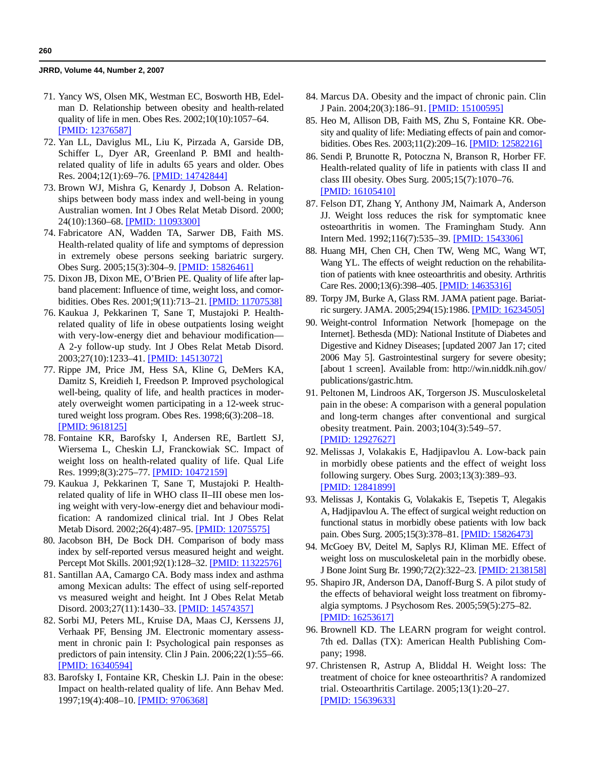- 71. Yancy WS, Olsen MK, Westman EC, Bosworth HB, Edelman D. Relationship between obesity and health-related quality of life in men. Obes Res. 2002;10(10):1057–64. [\[PMID: 12376587\]](http://www.ncbi.nlm.nih.gov/entrez/query.fcgi?db=pubmed&cmd=Retrieve&dopt=AbstractPlus&list_uids=12376587)
- 72. Yan LL, Daviglus ML, Liu K, Pirzada A, Garside DB, Schiffer L, Dyer AR, Greenland P. BMI and healthrelated quality of life in adults 65 years and older. Obes Res. 2004;12(1):69–76. [\[PMID: 14742844\]](http://www.ncbi.nlm.nih.gov/entrez/query.fcgi?db=pubmed&cmd=Retrieve&dopt=AbstractPlus&list_uids=14742844)
- 73. Brown WJ, Mishra G, Kenardy J, Dobson A. Relationships between body mass index and well-being in young Australian women. Int J Obes Relat Metab Disord. 2000; 24(10):1360–68. [\[PMID: 11093300\]](http://www.ncbi.nlm.nih.gov/entrez/query.fcgi?db=pubmed&cmd=Retrieve&dopt=AbstractPlus&list_uids=11093300)
- 74. Fabricatore AN, Wadden TA, Sarwer DB, Faith MS. Health-related quality of life and symptoms of depression in extremely obese persons seeking bariatric surgery. Obes Surg. 2005;15(3):304–9. [\[PMID: 15826461\]](http://www.ncbi.nlm.nih.gov/entrez/query.fcgi?db=pubmed&cmd=Retrieve&dopt=AbstractPlus&list_uids=15826461)
- 75. Dixon JB, Dixon ME, O'Brien PE. Quality of life after lapband placement: Influence of time, weight loss, and comorbidities. Obes Res. 2001;9(11):713–21. [\[PMID: 11707538\]](http://www.ncbi.nlm.nih.gov/entrez/query.fcgi?db=pubmed&cmd=Retrieve&dopt=AbstractPlus&list_uids=11707538)
- 76. Kaukua J, Pekkarinen T, Sane T, Mustajoki P. Healthrelated quality of life in obese outpatients losing weight with very-low-energy diet and behaviour modification— A 2-y follow-up study. Int J Obes Relat Metab Disord. 2003;27(10):1233–41. [\[PMID: 14513072\]](http://www.ncbi.nlm.nih.gov/entrez/query.fcgi?db=pubmed&cmd=Retrieve&dopt=AbstractPlus&list_uids=14513072)
- 77. Rippe JM, Price JM, Hess SA, Kline G, DeMers KA, Damitz S, Kreidieh I, Freedson P. Improved psychological well-being, quality of life, and health practices in moderately overweight women participating in a 12-week structured weight loss program. Obes Res. 1998;6(3):208–18. [\[PMID: 9618125\]](http://www.ncbi.nlm.nih.gov/entrez/query.fcgi?db=pubmed&cmd=Retrieve&dopt=AbstractPlus&list_uids=9618125)
- 78. Fontaine KR, Barofsky I, Andersen RE, Bartlett SJ, Wiersema L, Cheskin LJ, Franckowiak SC. Impact of weight loss on health-related quality of life. Qual Life Res. 1999;8(3):275–77. [\[PMID: 10472159\]](http://www.ncbi.nlm.nih.gov/entrez/query.fcgi?db=pubmed&cmd=Retrieve&dopt=AbstractPlus&list_uids=10472159)
- 79. Kaukua J, Pekkarinen T, Sane T, Mustajoki P. Healthrelated quality of life in WHO class II–III obese men losing weight with very-low-energy diet and behaviour modification: A randomized clinical trial. Int J Obes Relat Metab Disord. 2002;26(4):487–95. [\[PMID: 12075575\]](http://www.ncbi.nlm.nih.gov/entrez/query.fcgi?db=pubmed&cmd=Retrieve&dopt=AbstractPlus&list_uids=12075575)
- 80. Jacobson BH, De Bock DH. Comparison of body mass index by self-reported versus measured height and weight. Percept Mot Skills. 2001;92(1):128–32. [\[PMID: 11322576\]](http://www.ncbi.nlm.nih.gov/entrez/query.fcgi?db=pubmed&cmd=Retrieve&dopt=AbstractPlus&list_uids=11322576)
- 81. Santillan AA, Camargo CA. Body mass index and asthma among Mexican adults: The effect of using self-reported vs measured weight and height. Int J Obes Relat Metab Disord. 2003;27(11):1430–33. [\[PMID: 14574357\]](http://www.ncbi.nlm.nih.gov/entrez/query.fcgi?db=pubmed&cmd=Retrieve&dopt=AbstractPlus&list_uids=14574357)
- 82. Sorbi MJ, Peters ML, Kruise DA, Maas CJ, Kerssens JJ, Verhaak PF, Bensing JM. Electronic momentary assessment in chronic pain I: Psychological pain responses as predictors of pain intensity. Clin J Pain. 2006;22(1):55–66. [\[PMID: 16340594\]](http://www.ncbi.nlm.nih.gov/entrez/query.fcgi?db=pubmed&cmd=Retrieve&dopt=AbstractPlus&list_uids=16340594)
- 83. Barofsky I, Fontaine KR, Cheskin LJ. Pain in the obese: Impact on health-related quality of life. Ann Behav Med. 1997;19(4):408–10. [\[PMID: 9706368\]](http://www.ncbi.nlm.nih.gov/entrez/query.fcgi?db=pubmed&cmd=Retrieve&dopt=AbstractPlus&list_uids=9706368)
- 84. Marcus DA. Obesity and the impact of chronic pain. Clin J Pain. 2004;20(3):186–91. [\[PMID: 15100595\]](http://www.ncbi.nlm.nih.gov/entrez/query.fcgi?db=pubmed&cmd=Retrieve&dopt=AbstractPlus&list_uids=15100595)
- 85. Heo M, Allison DB, Faith MS, Zhu S, Fontaine KR. Obesity and quality of life: Mediating effects of pain and comorbidities. Obes Res. 2003;11(2):209–16. [\[PMID: 12582216\]](http://www.ncbi.nlm.nih.gov/entrez/query.fcgi?db=pubmed&cmd=Retrieve&dopt=AbstractPlus&list_uids=12582216)
- 86. Sendi P, Brunotte R, Potoczna N, Branson R, Horber FF. Health-related quality of life in patients with class II and class III obesity. Obes Surg. 2005;15(7):1070–76. [\[PMID: 16105410\]](http://www.ncbi.nlm.nih.gov/entrez/query.fcgi?db=pubmed&cmd=Retrieve&dopt=AbstractPlus&list_uids=16105410)
- 87. Felson DT, Zhang Y, Anthony JM, Naimark A, Anderson JJ. Weight loss reduces the risk for symptomatic knee osteoarthritis in women. The Framingham Study. Ann Intern Med. 1992;116(7):535–39. [\[PMID: 1543306\]](http://www.ncbi.nlm.nih.gov/entrez/query.fcgi?db=pubmed&cmd=Retrieve&dopt=AbstractPlus&list_uids=1543306)
- 88. Huang MH, Chen CH, Chen TW, Weng MC, Wang WT, Wang YL. The effects of weight reduction on the rehabilitation of patients with knee osteoarthritis and obesity. Arthritis Care Res. 2000;13(6):398–405. [\[PMID: 14635316\]](http://www.ncbi.nlm.nih.gov/entrez/query.fcgi?db=pubmed&cmd=Retrieve&dopt=AbstractPlus&list_uids=14635316)
- 89. Torpy JM, Burke A, Glass RM. JAMA patient page. Bariatric surgery. JAMA. 2005;294(15):1986. [\[PMID: 16234505\]](http://www.ncbi.nlm.nih.gov/entrez/query.fcgi?db=pubmed&cmd=Retrieve&dopt=AbstractPlus&list_uids=16234505)
- 90. Weight-control Information Network [homepage on the Internet]. Bethesda (MD): National Institute of Diabetes and Digestive and Kidney Diseases; [updated 2007 Jan 17; cited 2006 May 5]. Gastrointestinal surgery for severe obesity; [about 1 screen]. Available from: http://win.niddk.nih.gov/ publications/gastric.htm.
- 91. Peltonen M, Lindroos AK, Torgerson JS. Musculoskeletal pain in the obese: A comparison with a general population and long-term changes after conventional and surgical obesity treatment. Pain. 2003;104(3):549–57. [\[PMID: 12927627\]](http://www.ncbi.nlm.nih.gov/entrez/query.fcgi?db=pubmed&cmd=Retrieve&dopt=AbstractPlus&list_uids=12927627)
- 92. Melissas J, Volakakis E, Hadjipavlou A. Low-back pain in morbidly obese patients and the effect of weight loss following surgery. Obes Surg. 2003;13(3):389–93. [\[PMID: 12841899\]](http://www.ncbi.nlm.nih.gov/entrez/query.fcgi?db=pubmed&cmd=Retrieve&dopt=AbstractPlus&list_uids=12841899)
- 93. Melissas J, Kontakis G, Volakakis E, Tsepetis T, Alegakis A, Hadjipavlou A. The effect of surgical weight reduction on functional status in morbidly obese patients with low back pain. Obes Surg. 2005;15(3):378-81. [\[PMID: 15826473\]](http://www.ncbi.nlm.nih.gov/entrez/query.fcgi?db=pubmed&cmd=Retrieve&dopt=AbstractPlus&list_uids=15826473)
- 94. McGoey BV, Deitel M, Saplys RJ, Kliman ME. Effect of weight loss on musculoskeletal pain in the morbidly obese. J Bone Joint Surg Br. 1990;72(2):322–23. [\[PMID: 2138158\]](http://www.ncbi.nlm.nih.gov/entrez/query.fcgi?db=pubmed&cmd=Retrieve&dopt=AbstractPlus&list_uids=2138158)
- 95. Shapiro JR, Anderson DA, Danoff-Burg S. A pilot study of the effects of behavioral weight loss treatment on fibromyalgia symptoms. J Psychosom Res. 2005;59(5):275–82. [\[PMID: 16253617\]](http://www.ncbi.nlm.nih.gov/entrez/query.fcgi?db=pubmed&cmd=Retrieve&dopt=AbstractPlus&list_uids=16253617)
- 96. Brownell KD. The LEARN program for weight control. 7th ed. Dallas (TX): American Health Publishing Company; 1998.
- 97. Christensen R, Astrup A, Bliddal H. Weight loss: The treatment of choice for knee osteoarthritis? A randomized trial. Osteoarthritis Cartilage. 2005;13(1):20–27. [\[PMID: 15639633\]](http://www.ncbi.nlm.nih.gov/entrez/query.fcgi?db=pubmed&cmd=Retrieve&dopt=AbstractPlus&list_uids=15639633)